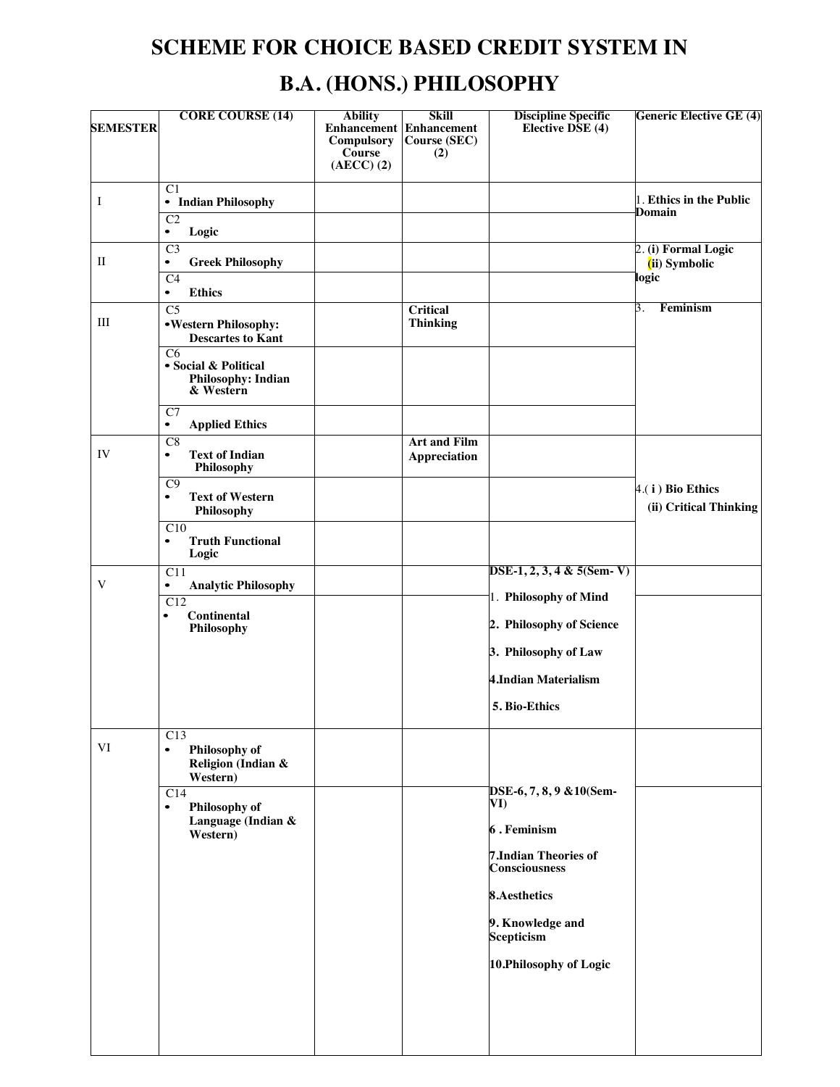# **SCHEME FOR CHOICE BASED CREDIT SYSTEM IN B.A. (HONS.) PHILOSOPHY**

| <b>SEMESTER</b> | <b>CORE COURSE (14)</b>                                                                                | <b>Ability</b><br>Compulsory<br>Course<br>$(AECC)$ $(2)$ | <b>Skill</b><br><b>Enhancement</b> Enhancement<br>Course (SEC)<br>(2) | <b>Discipline Specific</b><br>Elective DSE (4)      | <b>Generic Elective GE (4)</b>                |
|-----------------|--------------------------------------------------------------------------------------------------------|----------------------------------------------------------|-----------------------------------------------------------------------|-----------------------------------------------------|-----------------------------------------------|
| I               | C1<br>• Indian Philosophy<br>$\overline{C2}$<br>Logic<br>$\bullet$                                     |                                                          |                                                                       |                                                     | 1. Ethics in the Public<br>Domain             |
| $\mathbf{I}$    | $\overline{C}3$<br><b>Greek Philosophy</b><br>$\bullet$<br>C <sub>4</sub>                              |                                                          |                                                                       |                                                     | 2. (i) Formal Logic<br>(ii) Symbolic<br>logic |
| Ш               | <b>Ethics</b><br>$\bullet$<br>$\overline{C5}$<br>•Western Philosophy:<br><b>Descartes to Kant</b>      |                                                          | <b>Critical</b><br><b>Thinking</b>                                    |                                                     | Feminism<br>3.                                |
|                 | C6<br>• Social & Political<br><b>Philosophy: Indian</b><br>& Western                                   |                                                          |                                                                       |                                                     |                                               |
|                 | C7<br><b>Applied Ethics</b><br>٠                                                                       |                                                          |                                                                       |                                                     |                                               |
| IV              | $\overline{C8}$<br><b>Text of Indian</b><br>$\bullet$<br>Philosophy                                    |                                                          | <b>Art and Film</b><br><b>Appreciation</b>                            |                                                     |                                               |
|                 | C9<br><b>Text of Western</b><br>$\bullet$<br>Philosophy<br>C10<br><b>Truth Functional</b><br>$\bullet$ |                                                          |                                                                       |                                                     | 4.(i) Bio Ethics<br>(ii) Critical Thinking    |
| V               | Logic<br>$\overline{C11}$<br><b>Analytic Philosophy</b><br>$\bullet$                                   |                                                          |                                                                       | $\overline{DSE-1, 2, 3, 4 \& 5(Sem-V)}$             |                                               |
|                 | C12<br><b>Continental</b><br>$\bullet$                                                                 |                                                          |                                                                       | 1. Philosophy of Mind<br>2. Philosophy of Science   |                                               |
|                 | Philosophy                                                                                             |                                                          |                                                                       | 3. Philosophy of Law                                |                                               |
|                 |                                                                                                        |                                                          |                                                                       | <b>4.Indian Materialism</b>                         |                                               |
|                 |                                                                                                        |                                                          |                                                                       | 5. Bio-Ethics                                       |                                               |
| VI              | C13<br>Philosophy of<br>$\bullet$<br>Religion (Indian &<br>Western)                                    |                                                          |                                                                       |                                                     |                                               |
|                 | $\overline{C14}$<br>Philosophy of<br>$\bullet$<br>Language (Indian &<br>Western)                       |                                                          |                                                                       | DSE-6, 7, 8, 9 & 10(Sem-<br>VI)                     |                                               |
|                 |                                                                                                        |                                                          |                                                                       | 6. Feminism                                         |                                               |
|                 |                                                                                                        |                                                          |                                                                       | <b>7.Indian Theories of</b><br><b>Consciousness</b> |                                               |
|                 |                                                                                                        |                                                          |                                                                       | 8.Aesthetics                                        |                                               |
|                 |                                                                                                        |                                                          |                                                                       | 9. Knowledge and<br>Scepticism                      |                                               |
|                 |                                                                                                        |                                                          |                                                                       | 10. Philosophy of Logic                             |                                               |
|                 |                                                                                                        |                                                          |                                                                       |                                                     |                                               |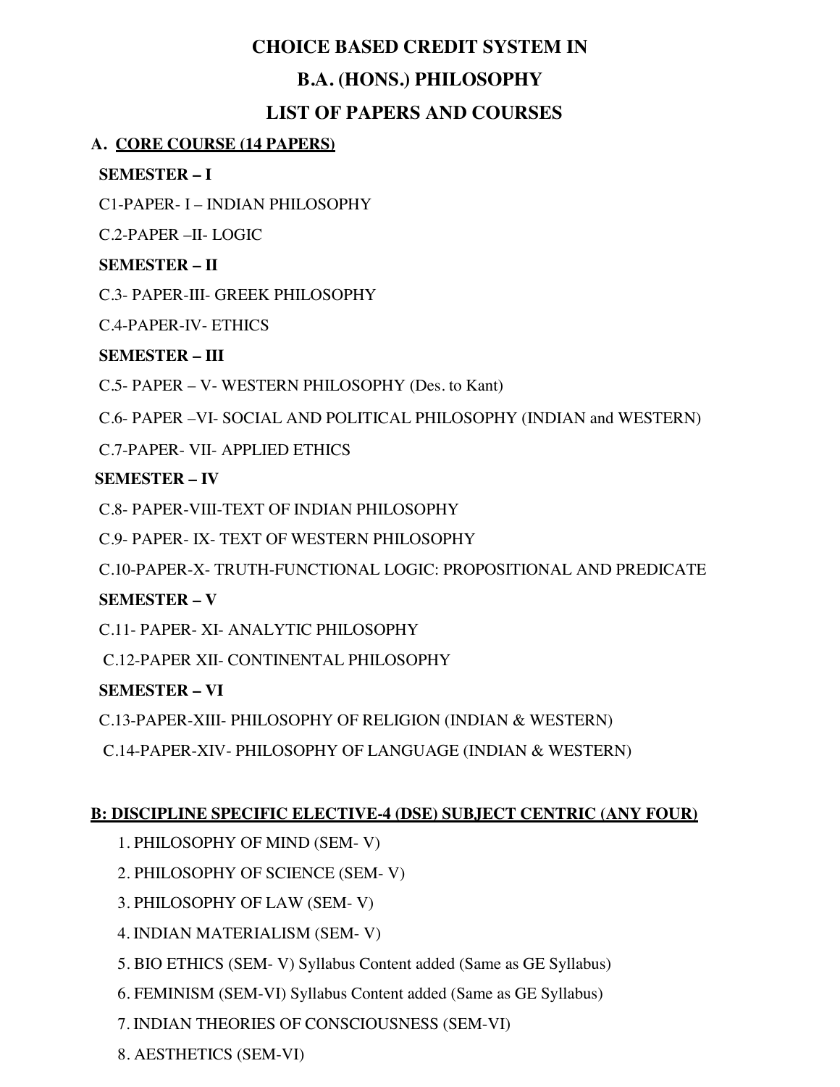# **CHOICE BASED CREDIT SYSTEM IN**

# **B.A. (HONS.) PHILOSOPHY**

# **LIST OF PAPERS AND COURSES**

# **A. CORE COURSE (14 PAPERS)**

# **SEMESTER – I**

C1-PAPER- I – INDIAN PHILOSOPHY

C.2-PAPER –II- LOGIC

# **SEMESTER – II**

C.3- PAPER-III- GREEK PHILOSOPHY

C.4-PAPER-IV- ETHICS

# **SEMESTER – III**

C.5- PAPER – V- WESTERN PHILOSOPHY (Des. to Kant)

C.6- PAPER –VI- SOCIAL AND POLITICAL PHILOSOPHY (INDIAN and WESTERN)

C.7-PAPER- VII- APPLIED ETHICS

# **SEMESTER – IV**

C.8- PAPER-VIII-TEXT OF INDIAN PHILOSOPHY

C.9- PAPER- IX- TEXT OF WESTERN PHILOSOPHY

C.10-PAPER-X- TRUTH-FUNCTIONAL LOGIC: PROPOSITIONAL AND PREDICATE

# **SEMESTER – V**

C.11- PAPER- XI- ANALYTIC PHILOSOPHY

C.12-PAPER XII- CONTINENTAL PHILOSOPHY

# **SEMESTER – VI**

C.13-PAPER-XIII- PHILOSOPHY OF RELIGION (INDIAN & WESTERN)

C.14-PAPER-XIV- PHILOSOPHY OF LANGUAGE (INDIAN & WESTERN)

# **B: DISCIPLINE SPECIFIC ELECTIVE-4 (DSE) SUBJECT CENTRIC (ANY FOUR)**

- 1. PHILOSOPHY OF MIND (SEM- V)
- 2. PHILOSOPHY OF SCIENCE (SEM- V)
- 3. PHILOSOPHY OF LAW (SEM- V)
- 4. INDIAN MATERIALISM (SEM- V)
- 5. BIO ETHICS (SEM- V) Syllabus Content added (Same as GE Syllabus)
- 6. FEMINISM (SEM-VI) Syllabus Content added (Same as GE Syllabus)
- 7. INDIAN THEORIES OF CONSCIOUSNESS (SEM-VI)
- 8. AESTHETICS (SEM-VI)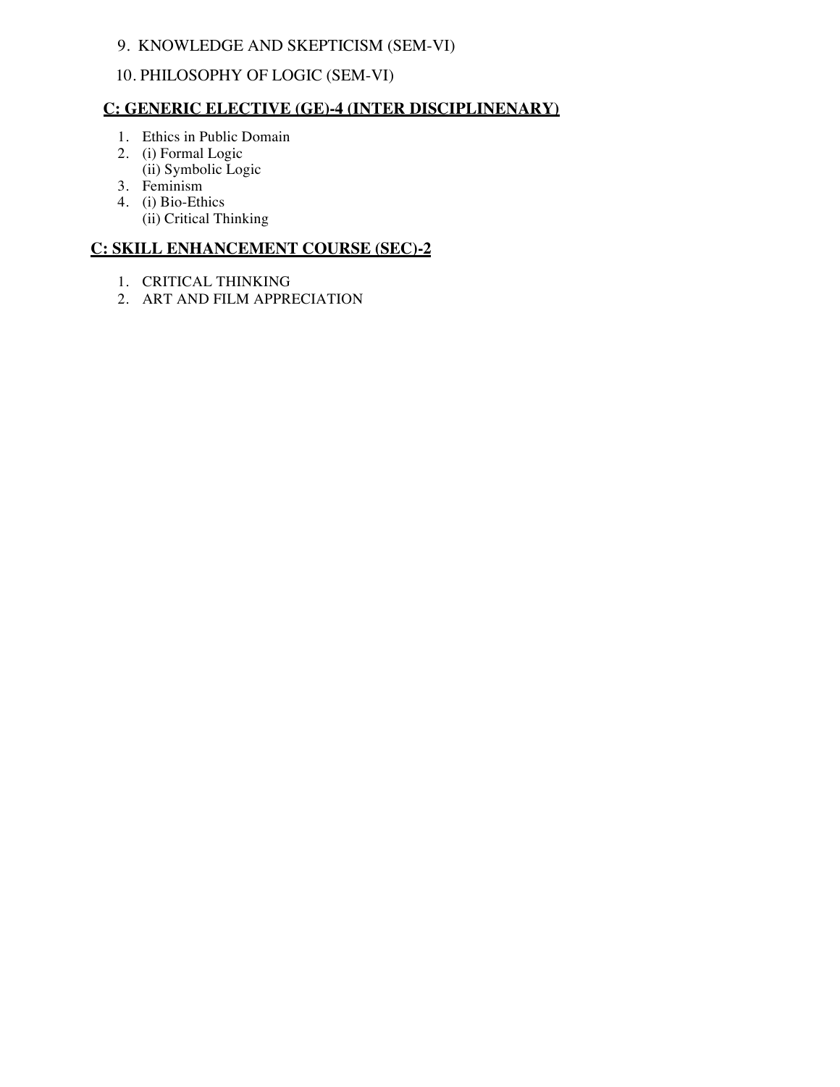### 9. KNOWLEDGE AND SKEPTICISM (SEM-VI)

# 10. PHILOSOPHY OF LOGIC (SEM-VI)

#### **C: GENERIC ELECTIVE (GE)-4 (INTER DISCIPLINENARY)**

- 1. Ethics in Public Domain
- 2. (i) Formal Logic (ii) Symbolic Logic
- 3. Feminism
- 4. (i) Bio-Ethics (ii) Critical Thinking

#### **C: SKILL ENHANCEMENT COURSE (SEC)-2**

- 1. CRITICAL THINKING
- 2. ART AND FILM APPRECIATION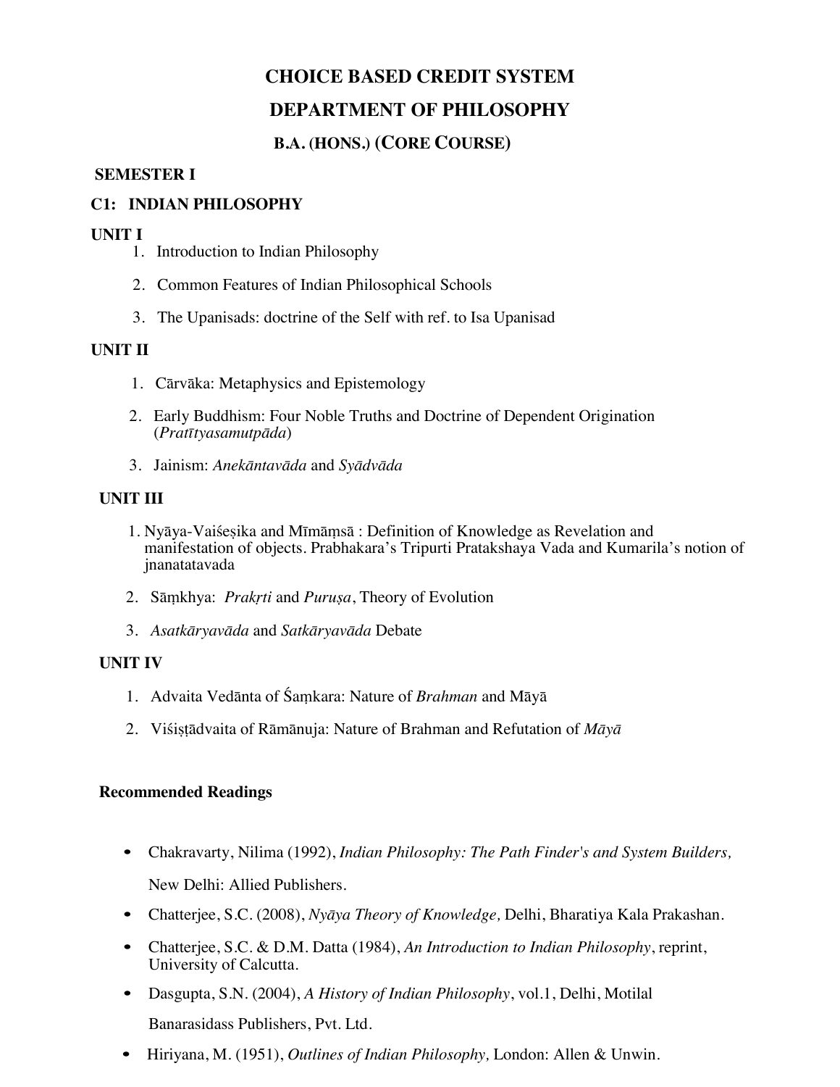# **B.A. (HONS.) (CORE COURSE)**

#### **SEMESTER I**

# **C1: INDIAN PHILOSOPHY**

- **UNIT I** 1. Introduction to Indian Philosophy
	- 2. Common Features of Indian Philosophical Schools
	- 3. The Upanisads: doctrine of the Self with ref. to Isa Upanisad

#### **UNIT II**

- 1. Cārvāka: Metaphysics and Epistemology
- 2. Early Buddhism: Four Noble Truths and Doctrine of Dependent Origination (*Pratītyasamutpāda*)
- 3. Jainism: *Anekāntavāda* and *Syādvāda*

#### **UNIT III**

- 1. Nyāya-Vaiśeṣika and Mīmāṃs<sup>ā</sup> : Definition of Knowledge as Revelation and manifestation of objects. Prabhakara's Tripurti Pratakshaya Vada and Kumarila's notion of jnanatatavada
- 2. Sāṃkhya: *Prakṛti* and *Puruṣa*, Theory of Evolution
- 3. *Asatkāryavāda* and *Satkāryavāda* Debate

#### **UNIT IV**

- 1. Advaita Vedānta of Śaṃkara: Nature of *Brahman* and Māyā
- 2. Viśiṣṭādvaita of Rāmānuja: Nature of Brahman and Refutation of *Māyā*

### **Recommended Readings**

• Chakravarty, Nilima (1992), *Indian Philosophy: The Path Finder's and System Builders,*

New Delhi: Allied Publishers.

- Chatterjee, S.C. (2008), *Nyāya Theory of Knowledge,* Delhi, Bharatiya Kala Prakashan.
- Chatterjee, S.C. & D.M. Datta (1984), *An Introduction to Indian Philosophy*, reprint, University of Calcutta.
- Dasgupta, S.N. (2004), *A History of Indian Philosophy*, vol.1, Delhi, Motilal Banarasidass Publishers, Pvt. Ltd.
- Hiriyana, M. (1951), *Outlines of Indian Philosophy,* London: Allen & Unwin.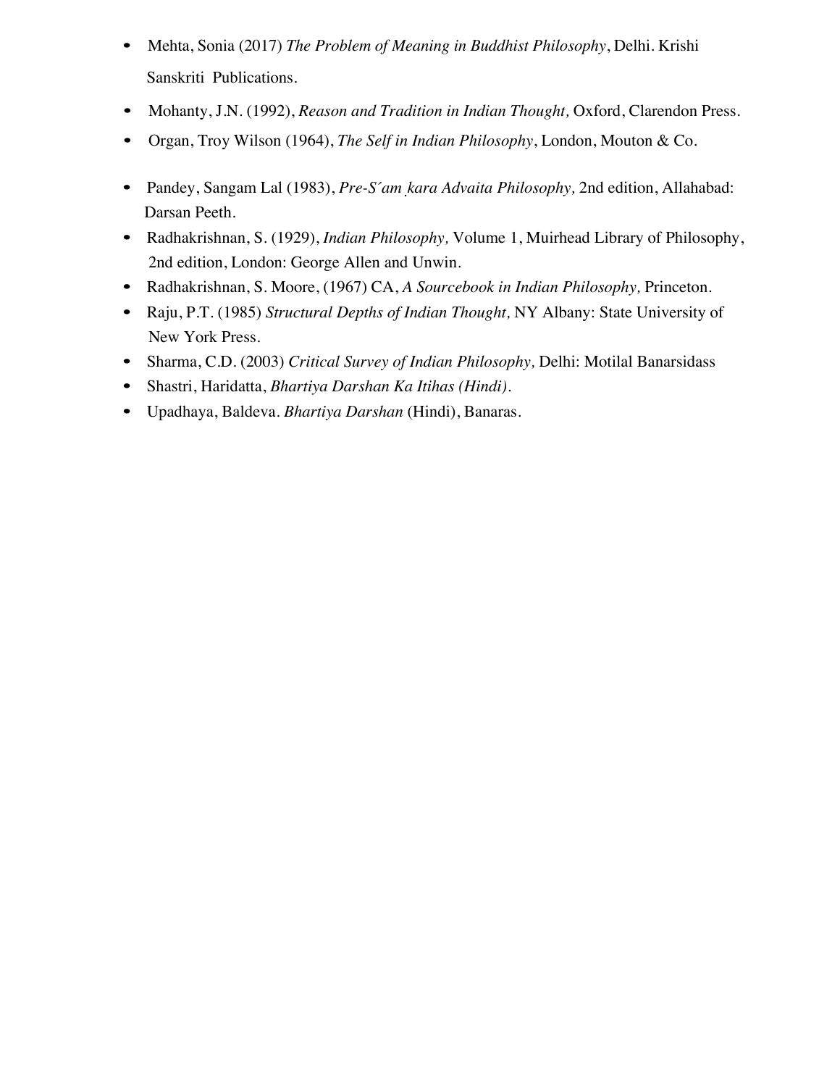- Mehta, Sonia (2017) *The Problem of Meaning in Buddhist Philosophy*, Delhi. Krishi Sanskriti Publications.
- Mohanty, J.N. (1992), *Reason and Tradition in Indian Thought,* Oxford, Clarendon Press.
- Organ, Troy Wilson (1964), *The Self in Indian Philosophy*, London, Mouton & Co.
- Pandey, Sangam Lal (1983), *Pre-Śaṃkara Advaita Philosophy,* 2nd edition, Allahabad: Darsan Peeth.
- Radhakrishnan, S. (1929), *Indian Philosophy,* Volume 1, Muirhead Library of Philosophy, 2nd edition, London: George Allen and Unwin.
- Radhakrishnan, S. Moore, (1967) CA, *A Sourcebook in Indian Philosophy,* Princeton.
- Raju, P.T. (1985) *Structural Depths of Indian Thought,* NY Albany: State University of New York Press.
- Sharma, C.D. (2003) *Critical Survey of Indian Philosophy,* Delhi: Motilal Banarsidass
- Shastri, Haridatta, *Bhartiya Darshan Ka Itihas (Hindi).*
- Upadhaya, Baldeva. *Bhartiya Darshan* (Hindi), Banaras.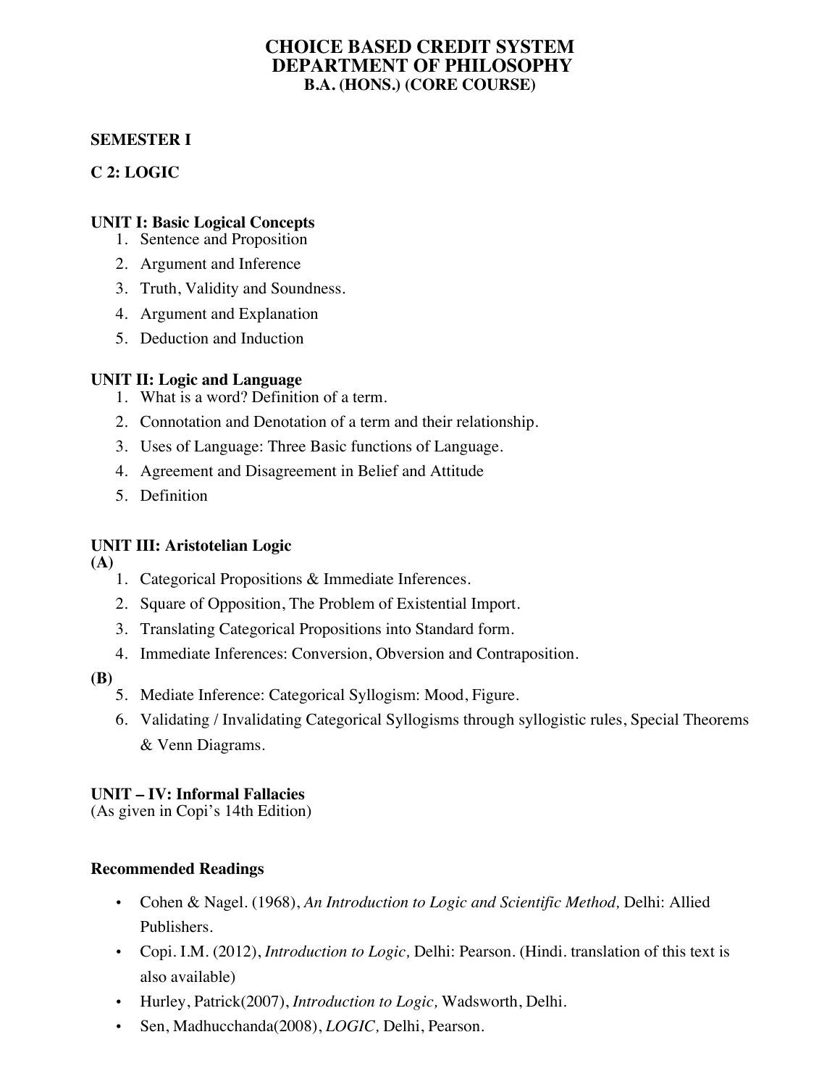### **CHOICE BASED CREDIT SYSTEM DEPARTMENT OF PHILOSOPHY B.A. (HONS.) (CORE COURSE)**

# **SEMESTER I**

# **C 2: LOGIC**

# **UNIT I: Basic Logical Concepts**

- 1. Sentence and Proposition
- 2. Argument and Inference
- 3. Truth, Validity and Soundness.
- 4. Argument and Explanation
- 5. Deduction and Induction

# **UNIT II: Logic and Language**

- 1. What is a word? Definition of a term.
- 2. Connotation and Denotation of a term and their relationship.
- 3. Uses of Language: Three Basic functions of Language.
- 4. Agreement and Disagreement in Belief and Attitude
- 5. Definition

# **UNIT III: Aristotelian Logic**

**(A)** 

- 1. Categorical Propositions & Immediate Inferences.
- 2. Square of Opposition, The Problem of Existential Import.
- 3. Translating Categorical Propositions into Standard form.
- 4. Immediate Inferences: Conversion, Obversion and Contraposition.

# **(B)**

- 5. Mediate Inference: Categorical Syllogism: Mood, Figure.
- 6. Validating / Invalidating Categorical Syllogisms through syllogistic rules, Special Theorems & Venn Diagrams.

# **UNIT – IV: Informal Fallacies**

(As given in Copi's 14th Edition)

- Cohen & Nagel. (1968), *An Introduction to Logic and Scientific Method,* Delhi: Allied Publishers.
- Copi. I.M. (2012), *Introduction to Logic,* Delhi: Pearson. (Hindi. translation of this text is also available)
- Hurley, Patrick(2007), *Introduction to Logic,* Wadsworth, Delhi.
- Sen, Madhucchanda(2008), *LOGIC,* Delhi, Pearson.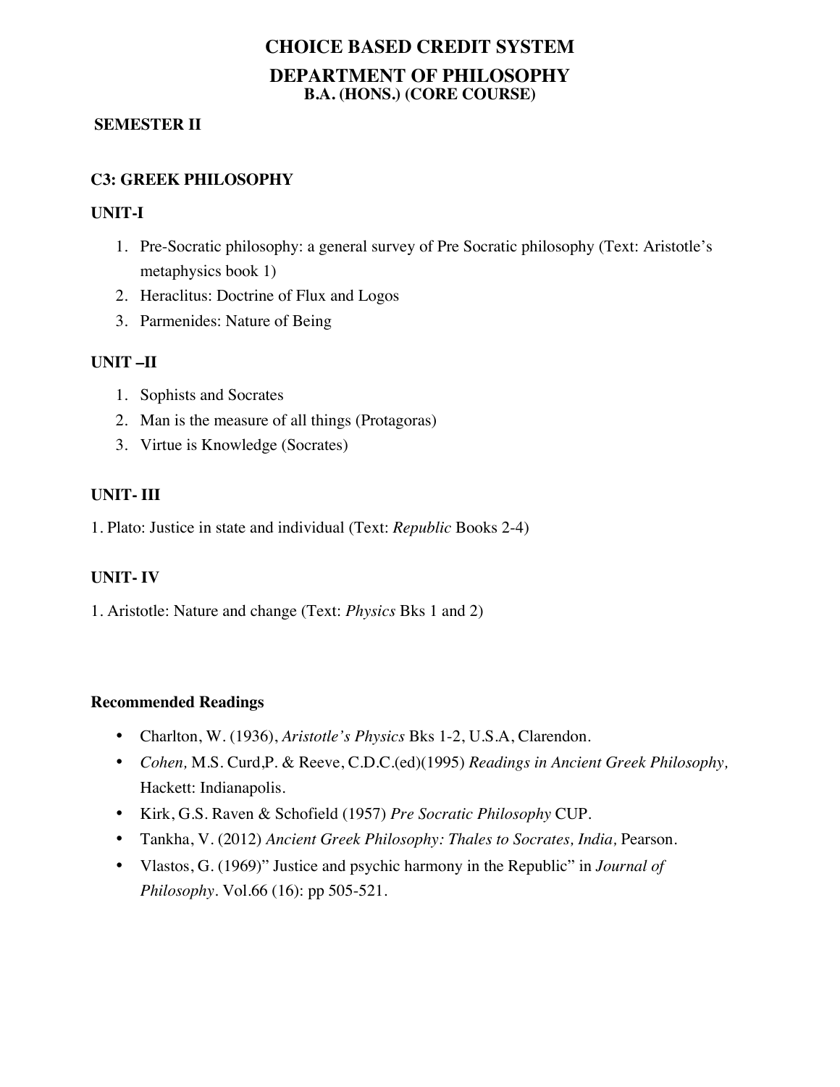# **CHOICE BASED CREDIT SYSTEM DEPARTMENT OF PHILOSOPHY B.A. (HONS.) (CORE COURSE)**

#### **SEMESTER II**

# **C3: GREEK PHILOSOPHY**

#### **UNIT-I**

- 1. Pre-Socratic philosophy: a general survey of Pre Socratic philosophy (Text: Aristotle's metaphysics book 1)
- 2. Heraclitus: Doctrine of Flux and Logos
- 3. Parmenides: Nature of Being

### **UNIT –II**

- 1. Sophists and Socrates
- 2. Man is the measure of all things (Protagoras)
- 3. Virtue is Knowledge (Socrates)

### **UNIT- III**

1. Plato: Justice in state and individual (Text: *Republic* Books 2-4)

### **UNIT- IV**

1. Aristotle: Nature and change (Text: *Physics* Bks 1 and 2)

- Charlton, W. (1936), *Aristotle's Physics* Bks 1-2, U.S.A, Clarendon.
- *Cohen,* M.S. Curd,P. & Reeve, C.D.C.(ed)(1995) *Readings in Ancient Greek Philosophy,*  Hackett: Indianapolis.
- Kirk, G.S. Raven & Schofield (1957) *Pre Socratic Philosophy* CUP.
- Tankha, V. (2012) *Ancient Greek Philosophy: Thales to Socrates, India,* Pearson.
- Vlastos, G. (1969)" Justice and psychic harmony in the Republic" in *Journal of Philosophy.* Vol.66 (16): pp 505-521.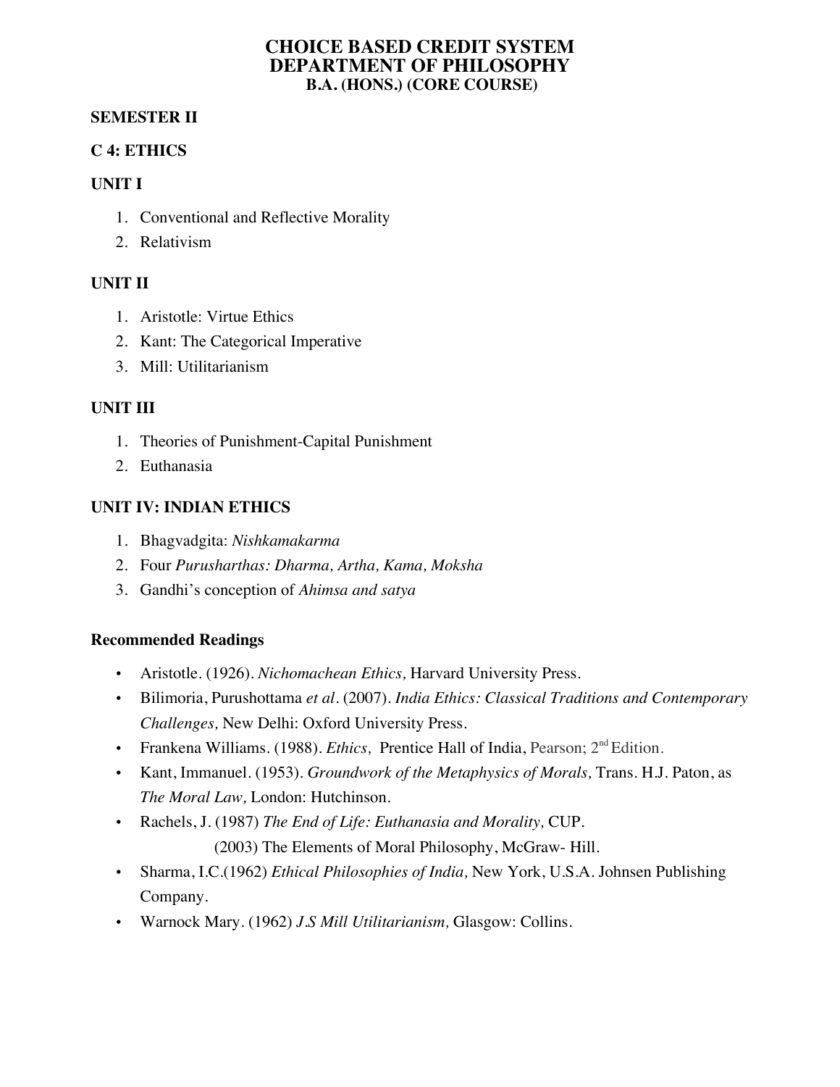### **CHOICE BASED CREDIT SYSTEM DEPARTMENT OF PHILOSOPHY B.A. (HONS.) (CORE COURSE)**

### **SEMESTER II**

# **C 4: ETHICS**

### **UNIT I**

- 1. Conventional and Reflective Morality
- 2. Relativism

# **UNIT II**

- 1. Aristotle: Virtue Ethics
- 2. Kant: The Categorical Imperative
- 3. Mill: Utilitarianism

# **UNIT III**

- 1. Theories of Punishment-Capital Punishment
- 2. Euthanasia

# **UNIT IV: INDIAN ETHICS**

- 1. Bhagvadgita: *Nishkamakarma*
- 2. Four *Purusharthas: Dharma, Artha, Kama, Moksha*
- 3. Gandhi's conception of *Ahimsa and satya*

- Aristotle. (1926). *Nichomachean Ethics,* Harvard University Press.
- Bilimoria, Purushottama *et al.* (2007). *India Ethics: Classical Traditions and Contemporary Challenges,* New Delhi: Oxford University Press.
- Frankena Williams. (1988). *Ethics*, Prentice Hall of India, Pearson; 2<sup>nd</sup> Edition.
- Kant, Immanuel. (1953). *Groundwork of the Metaphysics of Morals,* Trans. H.J. Paton, as *The Moral Law,* London: Hutchinson.
- Rachels, J. (1987) *The End of Life: Euthanasia and Morality,* CUP. (2003) The Elements of Moral Philosophy, McGraw- Hill.
- Sharma, I.C.(1962) *Ethical Philosophies of India,* New York, U.S.A. Johnsen Publishing Company.
- Warnock Mary. (1962) *J.S Mill Utilitarianism,* Glasgow: Collins.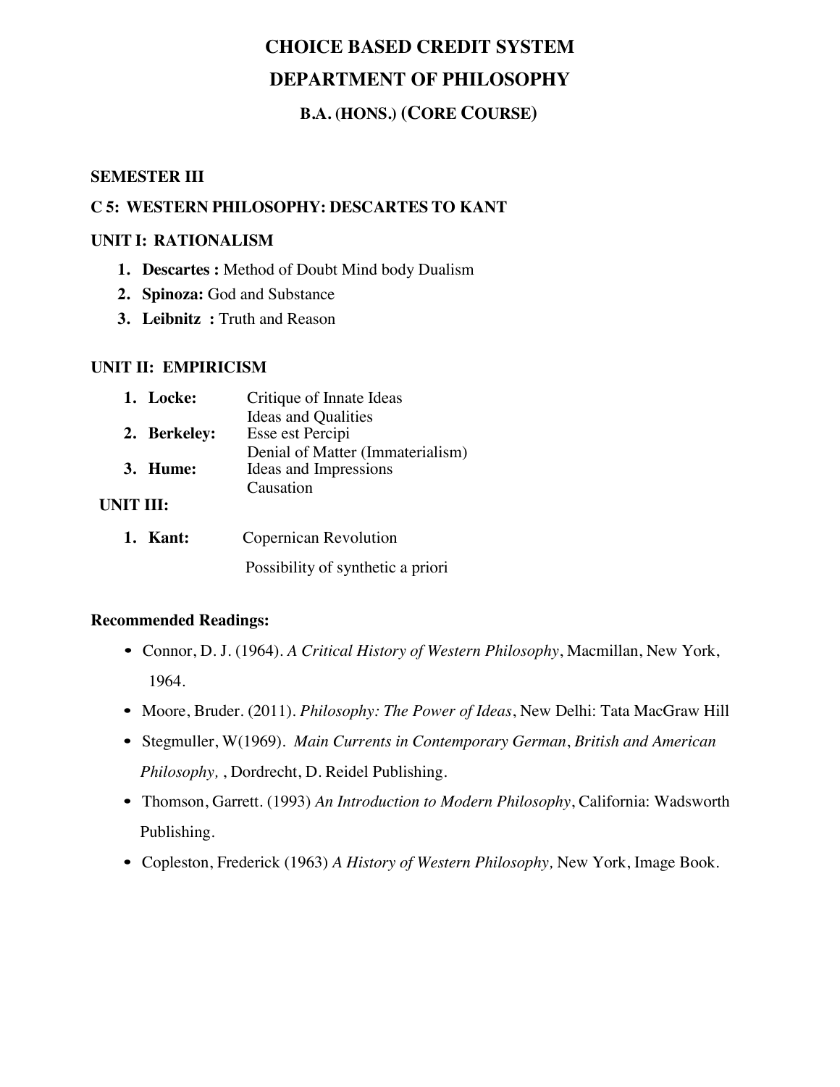# **B.A. (HONS.) (CORE COURSE)**

#### **SEMESTER III**

# **C 5: WESTERN PHILOSOPHY: DESCARTES TO KANT**

#### **UNIT I: RATIONALISM**

- **1. Descartes :** Method of Doubt Mind body Dualism
- **2. Spinoza:** God and Substance
- **3. Leibnitz :** Truth and Reason

#### **UNIT II: EMPIRICISM**

| 1. Locke:    | Critique of Innate Ideas         |
|--------------|----------------------------------|
|              | <b>Ideas and Qualities</b>       |
| 2. Berkeley: | Esse est Percipi                 |
|              | Denial of Matter (Immaterialism) |
| 3. Hume:     | Ideas and Impressions            |
|              | Causation                        |
|              |                                  |

#### **UNIT III:**

| 1. Kant: | <b>Copernican Revolution</b>      |  |  |
|----------|-----------------------------------|--|--|
|          | Possibility of synthetic a priori |  |  |

- Connor, D. J. (1964). *A Critical History of Western Philosophy*, Macmillan, New York, 1964.
- Moore, Bruder. (2011). *Philosophy: The Power of Ideas*, New Delhi: Tata MacGraw Hill
- Stegmuller, W(1969). *Main Currents in Contemporary German*, *British and American Philosophy,* , Dordrecht, D. Reidel Publishing.
- Thomson, Garrett. (1993) *An Introduction to Modern Philosophy*, California: Wadsworth Publishing.
- Copleston, Frederick (1963) *A History of Western Philosophy,* New York, Image Book.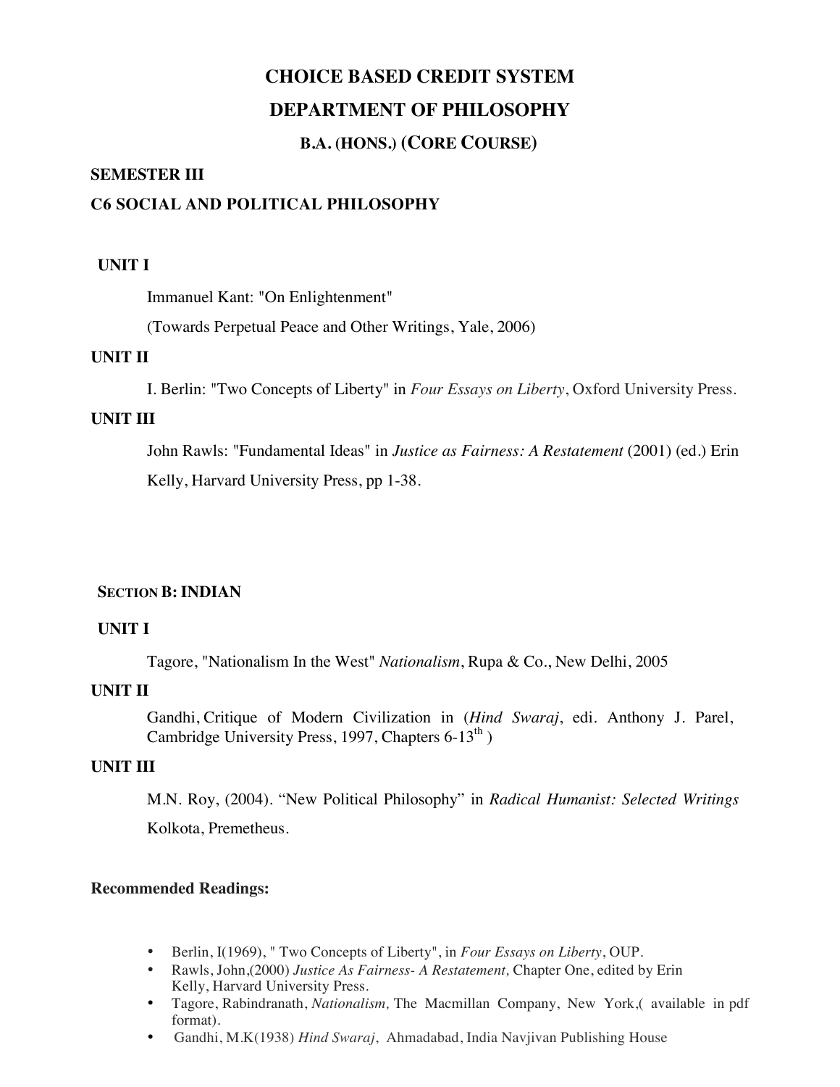# **B.A. (HONS.) (CORE COURSE)**

#### **SEMESTER III**

# **C6 SOCIAL AND POLITICAL PHILOSOPHY**

#### **UNIT I**

Immanuel Kant: "On Enlightenment"

(Towards Perpetual Peace and Other Writings, Yale, 2006)

#### **UNIT II**

I. Berlin: "Two Concepts of Liberty" in *Four Essays on Liberty*, Oxford University Press.

### **UNIT III**

John Rawls: "Fundamental Ideas" in *Justice as Fairness: A Restatement* (2001) (ed.) Erin Kelly, Harvard University Press, pp 1-38.

### **SECTION B: INDIAN**

#### **UNIT I**

Tagore, "Nationalism In the West" *Nationalism*, Rupa & Co., New Delhi, 2005

### **UNIT II**

Gandhi, Critique of Modern Civilization in (*Hind Swaraj*, edi. Anthony J. Parel, Cambridge University Press, 1997, Chapters  $6-13^{\text{th}}$ )

#### **UNIT III**

M.N. Roy, (2004). "New Political Philosophy" in *Radical Humanist: Selected Writings* Kolkota, Premetheus.

- Berlin, I(1969), " Two Concepts of Liberty", in *Four Essays on Liberty*, OUP.
- Rawls, John,(2000) *Justice As Fairness- A Restatement,* Chapter One, edited by Erin Kelly, Harvard University Press.
- Tagore, Rabindranath, *Nationalism,* The Macmillan Company, New York,( available in pdf format).
- Gandhi, M.K(1938) *Hind Swaraj*, Ahmadabad, India Navjivan Publishing House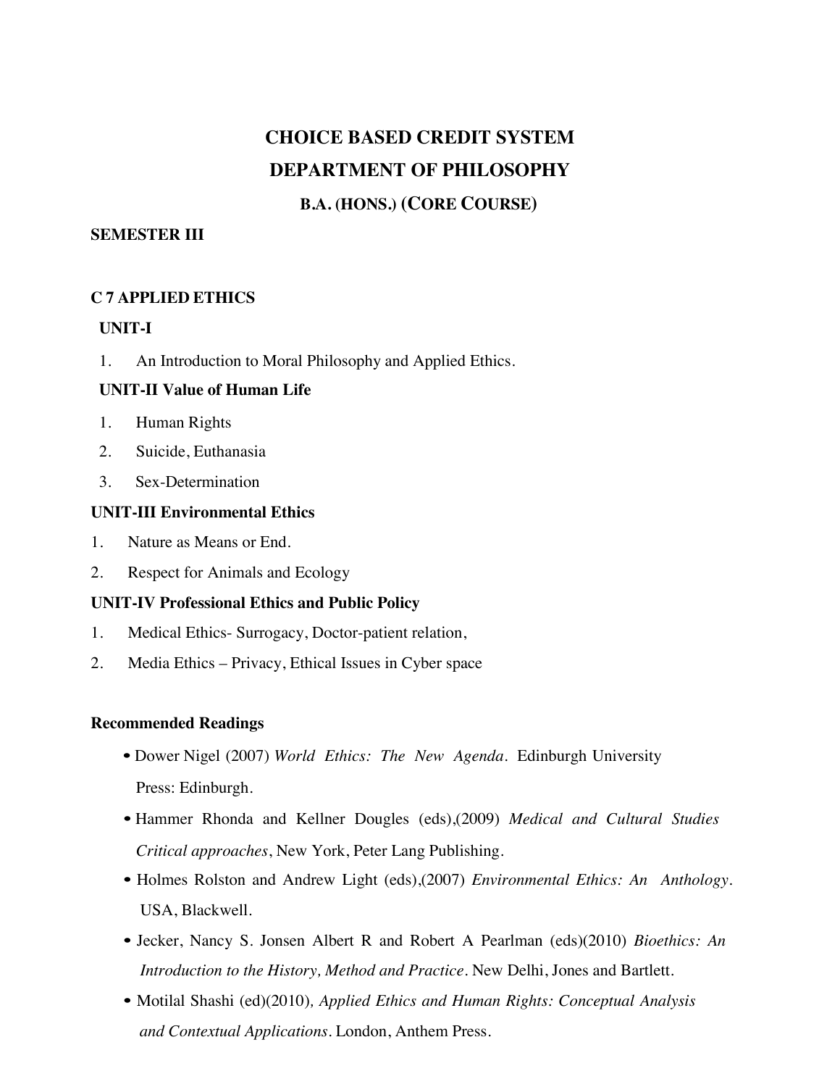# **B.A. (HONS.) (CORE COURSE)**

### **SEMESTER III**

### **C 7 APPLIED ETHICS**

### **UNIT-I**

1. An Introduction to Moral Philosophy and Applied Ethics.

### **UNIT-II Value of Human Life**

- 1. Human Rights
- 2. Suicide, Euthanasia
- 3. Sex-Determination

### **UNIT-III Environmental Ethics**

- 1. Nature as Means or End.
- 2. Respect for Animals and Ecology

### **UNIT-IV Professional Ethics and Public Policy**

- 1. Medical Ethics- Surrogacy, Doctor-patient relation,
- 2. Media Ethics Privacy, Ethical Issues in Cyber space

- Dower Nigel (2007) *World Ethics: The New Agenda*. Edinburgh University Press: Edinburgh.
- Hammer Rhonda and Kellner Dougles (eds),(2009) *Medical and Cultural Studies Critical approaches*, New York, Peter Lang Publishing.
- Holmes Rolston and Andrew Light (eds),(2007) *Environmental Ethics: An Anthology.* USA, Blackwell.
- Jecker, Nancy S. Jonsen Albert R and Robert A Pearlman (eds)(2010) *Bioethics: An Introduction to the History, Method and Practice.* New Delhi, Jones and Bartlett.
- Motilal Shashi (ed)(2010)*, Applied Ethics and Human Rights: Conceptual Analysis and Contextual Applications.* London, Anthem Press.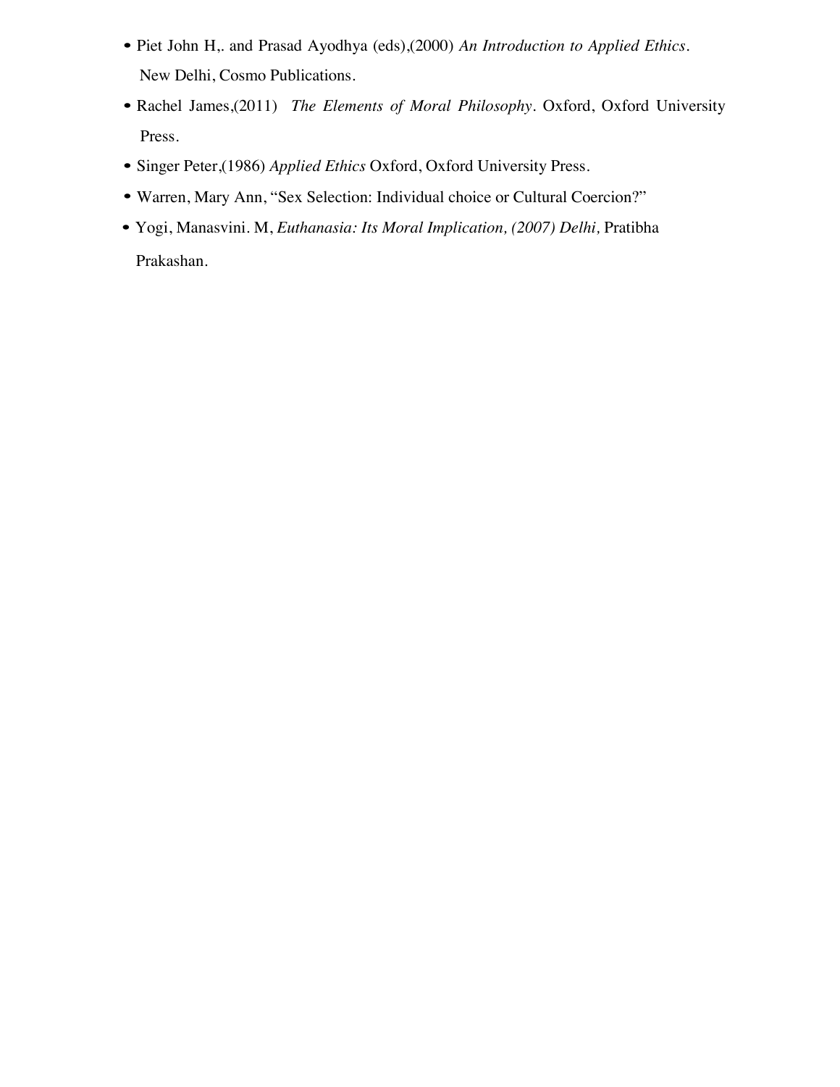- Piet John H,. and Prasad Ayodhya (eds),(2000) *An Introduction to Applied Ethics*. New Delhi, Cosmo Publications.
- Rachel James,(2011) *The Elements of Moral Philosophy.* Oxford, Oxford University Press.
- Singer Peter,(1986) *Applied Ethics* Oxford, Oxford University Press.
- Warren, Mary Ann, "Sex Selection: Individual choice or Cultural Coercion?"
- Yogi, Manasvini. M, *Euthanasia: Its Moral Implication, (2007) Delhi,* Pratibha Prakashan.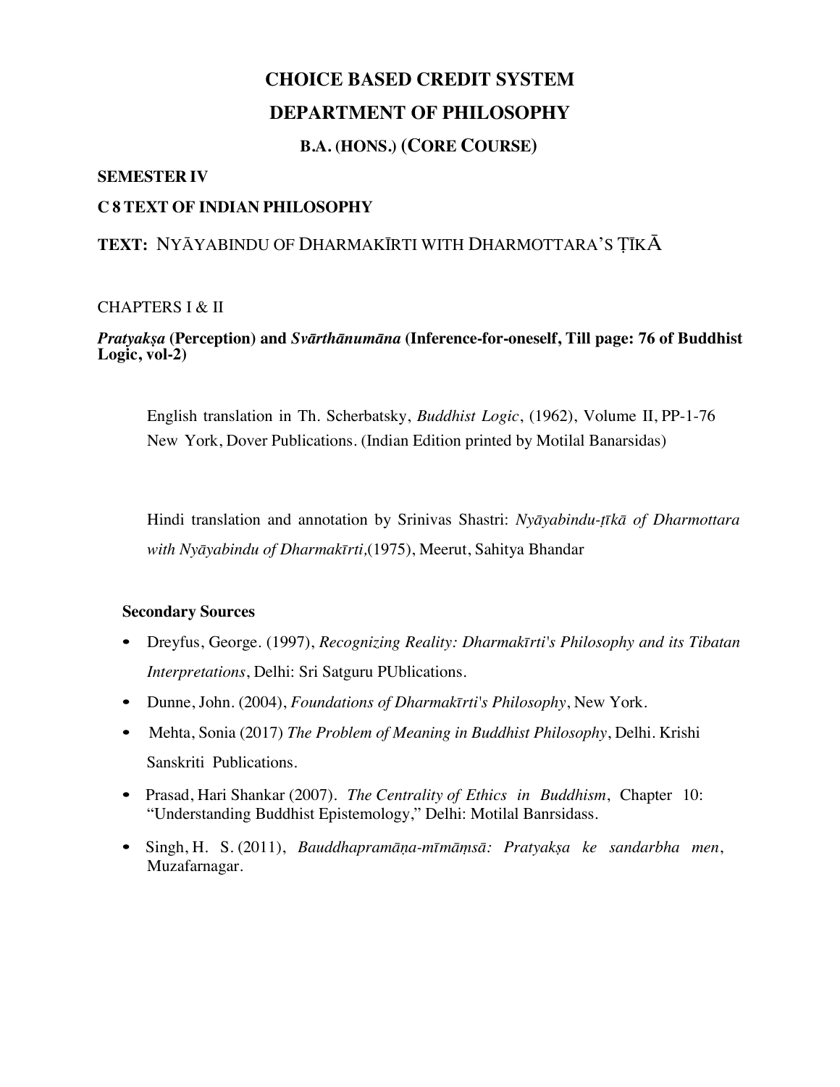# **B.A. (HONS.) (CORE COURSE)**

#### **SEMESTER IV**

#### **C 8 TEXT OF INDIAN PHILOSOPHY**

# **TEXT:** NYĀYABINDU OF DHARMAKĪRTI WITH DHARMOTTARA'S TĪKĀ

#### CHAPTERS I & II

#### *Pratyakṣa* **(Perception) and** *Svārthānumāna* **(Inference-for-oneself, Till page: 76 of Buddhist Logic, vol-2)**

English translation in Th. Scherbatsky, *Buddhist Logic*, (1962), Volume II, PP-1-76 New York, Dover Publications. (Indian Edition printed by Motilal Banarsidas)

Hindi translation and annotation by Srinivas Shastri: *Nyāyabindu-ṭīkā of Dharmottara with Nyāyabindu of Dharmakīrti,*(1975), Meerut, Sahitya Bhandar

#### **Secondary Sources**

- Dreyfus, George. (1997), *Recognizing Reality: Dharmakīrti's Philosophy and its Tibatan Interpretations*, Delhi: Sri Satguru PUblications.
- Dunne, John. (2004), *Foundations of Dharmakīrti's Philosophy*, New York.
- Mehta, Sonia (2017) *The Problem of Meaning in Buddhist Philosophy*, Delhi. Krishi Sanskriti Publications.
- Prasad, Hari Shankar (2007). *The Centrality of Ethics in Buddhism*, Chapter 10: "Understanding Buddhist Epistemology," Delhi: Motilal Banrsidass.
- Singh, H. S. (2011), *Bauddhapramāṇa-mīmāṃsā: Pratyakṣa ke sandarbha men*, Muzafarnagar.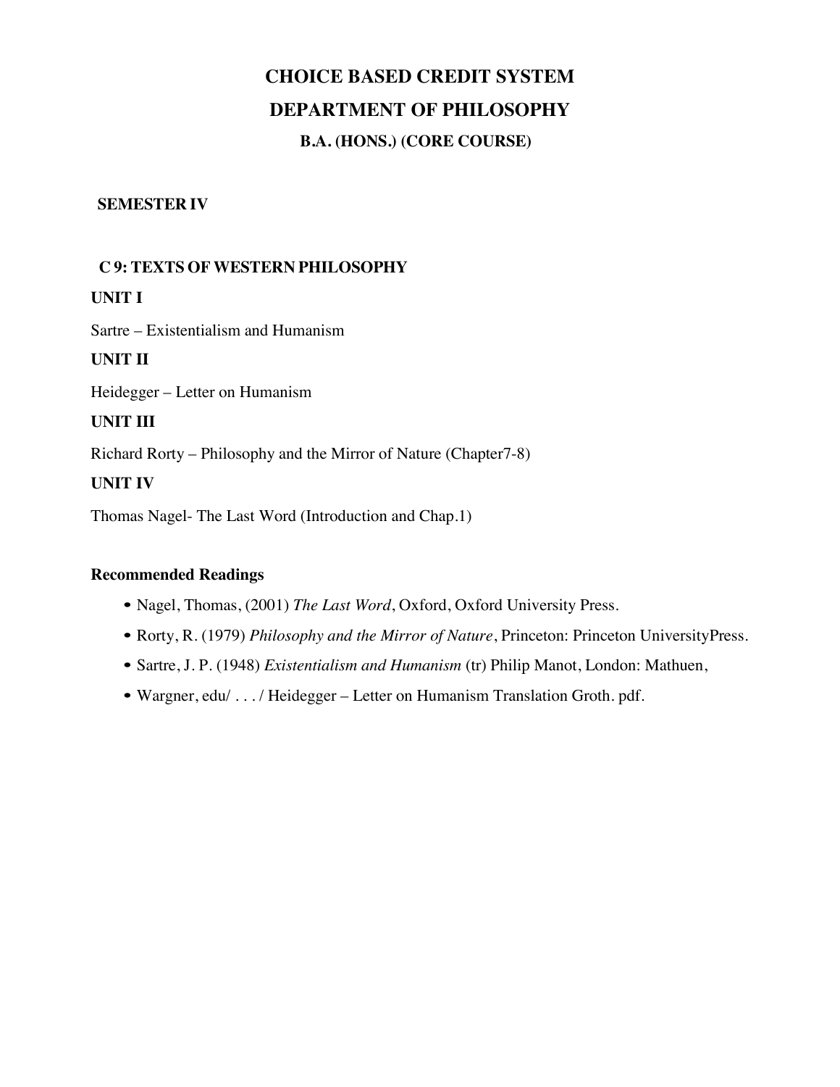# **CHOICE BASED CREDIT SYSTEM DEPARTMENT OF PHILOSOPHY B.A. (HONS.) (CORE COURSE)**

#### **SEMESTER IV**

### **C 9: TEXTS OF WESTERN PHILOSOPHY**

**UNIT I**

Sartre – Existentialism and Humanism

**UNIT II**

Heidegger – Letter on Humanism

#### **UNIT III**

Richard Rorty – Philosophy and the Mirror of Nature (Chapter7-8)

**UNIT IV**

Thomas Nagel- The Last Word (Introduction and Chap.1)

- Nagel, Thomas, (2001) *The Last Word*, Oxford, Oxford University Press.
- Rorty, R. (1979) *Philosophy and the Mirror of Nature*, Princeton: Princeton UniversityPress.
- Sartre, J. P. (1948) *Existentialism and Humanism* (tr) Philip Manot, London: Mathuen,
- Wargner, edu/ . . . / Heidegger Letter on Humanism Translation Groth. pdf.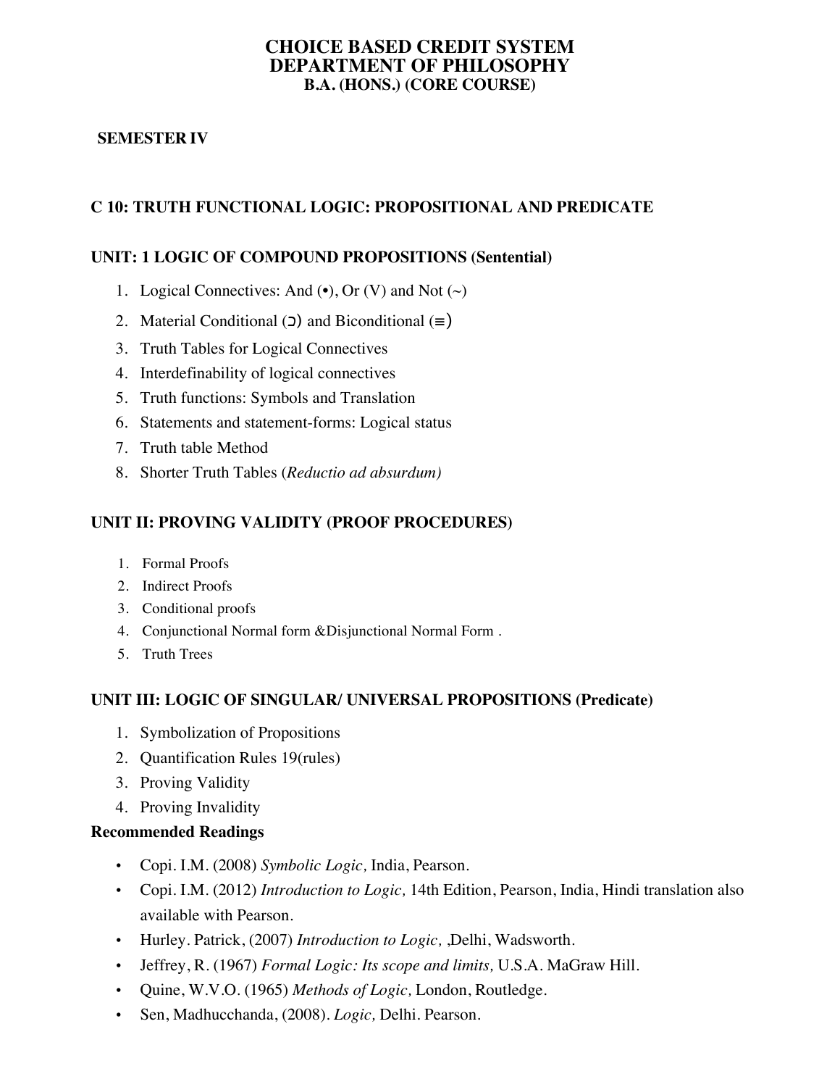#### **CHOICE BASED CREDIT SYSTEM DEPARTMENT OF PHILOSOPHY B.A. (HONS.) (CORE COURSE)**

# **SEMESTER IV**

# **C 10: TRUTH FUNCTIONAL LOGIC: PROPOSITIONAL AND PREDICATE**

### **UNIT: 1 LOGIC OF COMPOUND PROPOSITIONS (Sentential)**

- 1. Logical Connectives: And  $\left(\bullet\right)$ , Or  $(V)$  and Not  $\left(\sim\right)$
- 2. Material Conditional ( $\Box$ ) and Biconditional ( $\equiv$ )
- 3. Truth Tables for Logical Connectives
- 4. Interdefinability of logical connectives
- 5. Truth functions: Symbols and Translation
- 6. Statements and statement-forms: Logical status
- 7. Truth table Method
- 8. Shorter Truth Tables (*Reductio ad absurdum)*

# **UNIT II: PROVING VALIDITY (PROOF PROCEDURES)**

- 1. Formal Proofs
- 2. Indirect Proofs
- 3. Conditional proofs
- 4. Conjunctional Normal form &Disjunctional Normal Form .
- 5. Truth Trees

### **UNIT III: LOGIC OF SINGULAR/ UNIVERSAL PROPOSITIONS (Predicate)**

- 1. Symbolization of Propositions
- 2. Quantification Rules 19(rules)
- 3. Proving Validity
- 4. Proving Invalidity

- Copi. I.M. (2008) *Symbolic Logic,* India, Pearson.
- Copi. I.M. (2012) *Introduction to Logic,* 14th Edition, Pearson, India, Hindi translation also available with Pearson.
- Hurley. Patrick, (2007) *Introduction to Logic,* ,Delhi, Wadsworth.
- Jeffrey, R. (1967) *Formal Logic: Its scope and limits,* U.S.A. MaGraw Hill.
- Quine, W.V.O. (1965) *Methods of Logic,* London, Routledge.
- Sen, Madhucchanda, (2008). *Logic,* Delhi. Pearson.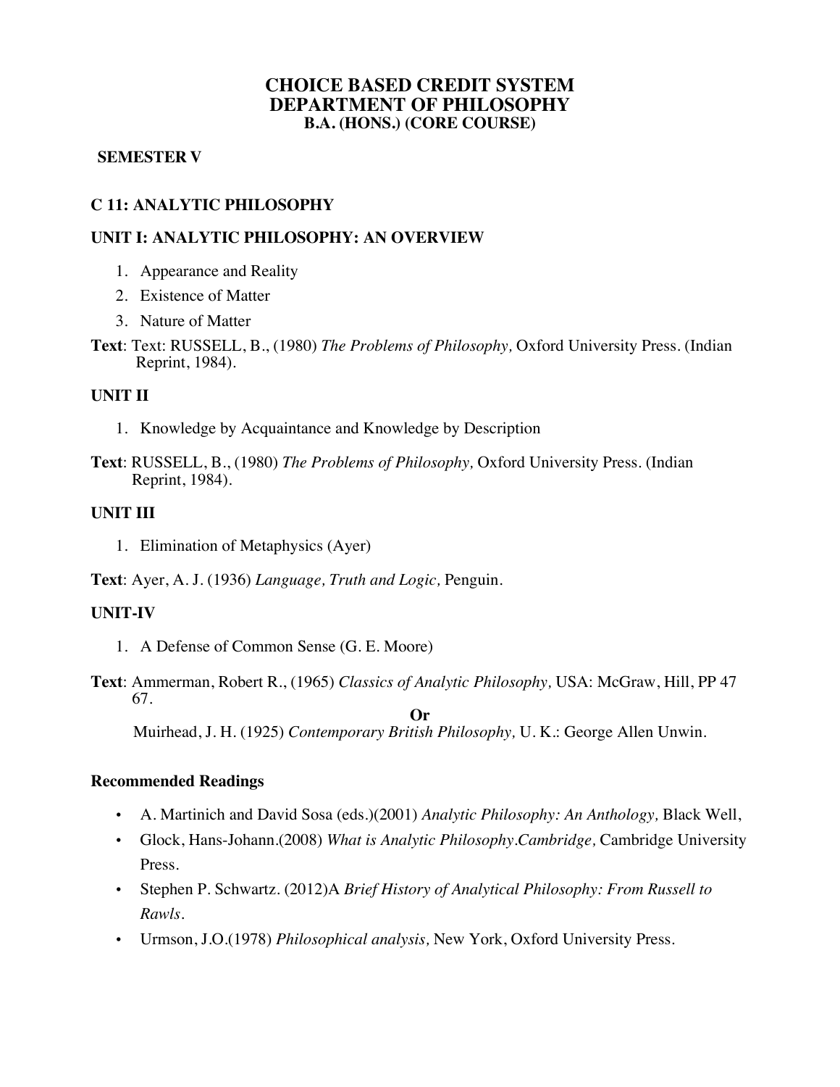### **CHOICE BASED CREDIT SYSTEM DEPARTMENT OF PHILOSOPHY B.A. (HONS.) (CORE COURSE)**

#### **SEMESTER V**

# **C 11: ANALYTIC PHILOSOPHY**

### **UNIT I: ANALYTIC PHILOSOPHY: AN OVERVIEW**

- 1. Appearance and Reality
- 2. Existence of Matter
- 3. Nature of Matter
- **Text**: Text: RUSSELL, B., (1980) *The Problems of Philosophy,* Oxford University Press. (Indian Reprint, 1984).

#### **UNIT II**

- 1. Knowledge by Acquaintance and Knowledge by Description
- **Text**: RUSSELL, B., (1980) *The Problems of Philosophy,* Oxford University Press. (Indian Reprint, 1984).

#### **UNIT III**

1. Elimination of Metaphysics (Ayer)

**Text**: Ayer, A. J. (1936) *Language, Truth and Logic,* Penguin.

#### **UNIT-IV**

- 1. A Defense of Common Sense (G. E. Moore)
- **Text**: Ammerman, Robert R., (1965) *Classics of Analytic Philosophy,* USA: McGraw, Hill, PP 47 67. **Or**

Muirhead, J. H. (1925) *Contemporary British Philosophy,* U. K.: George Allen Unwin.

- A. Martinich and David Sosa (eds.)(2001) *Analytic Philosophy: An Anthology,* Black Well,
- Glock, Hans-Johann.(2008) *What is Analytic Philosophy.Cambridge,* Cambridge University Press.
- Stephen P. Schwartz. (2012)A *Brief History of Analytical Philosophy: From Russell to Rawls.*
- Urmson, J.O.(1978) *Philosophical analysis,* New York, Oxford University Press.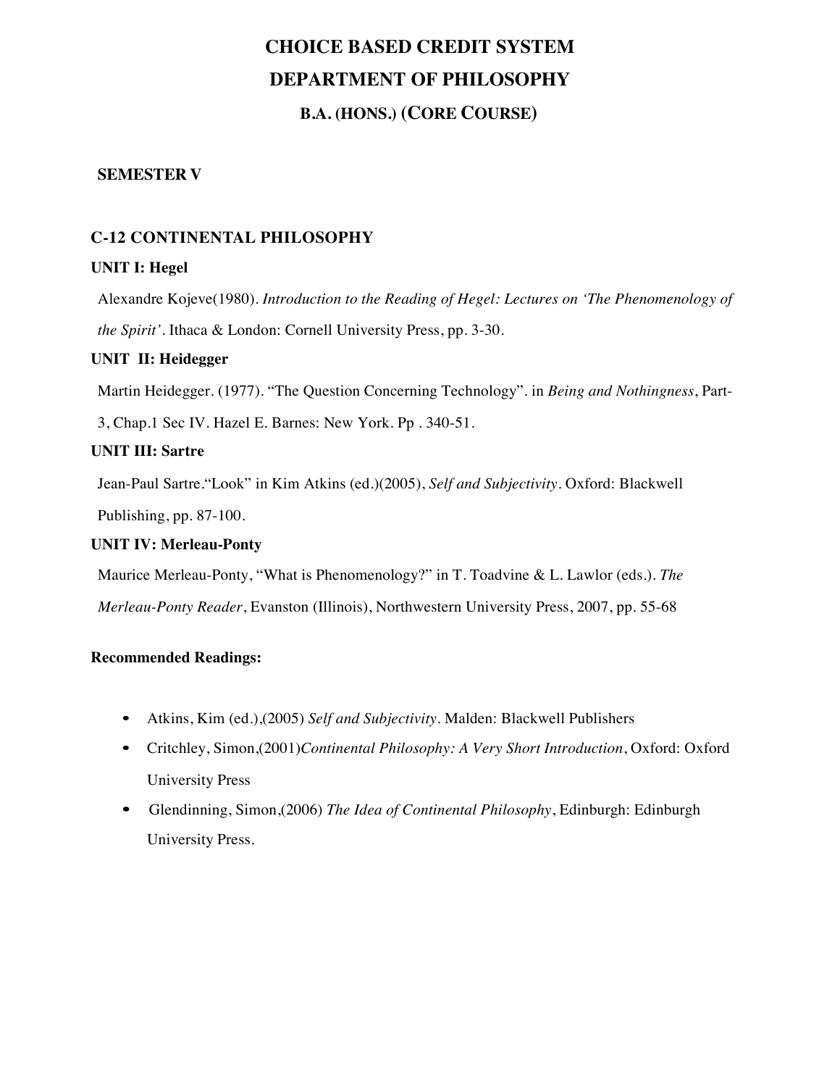# **CHOICE BASED CREDIT SYSTEM DEPARTMENT OF PHILOSOPHY B.A. (HONS.) (CORE COURSE)**

### **SEMESTER V**

# **C-12 CONTINENTAL PHILOSOPHY**

#### **UNIT I: Hegel**

Alexandre Kojeve(1980). *Introduction to the Reading of Hegel: Lectures on 'The Phenomenology of the Spirit'*. Ithaca & London: Cornell University Press, pp. 3-30.

#### **UNIT II: Heidegger**

Martin Heidegger. (1977). "The Question Concerning Technology". in *Being and Nothingness*, Part-

3, Chap.1 Sec IV. Hazel E. Barnes: New York. Pp . 340-51.

#### **UNIT III: Sartre**

Jean-Paul Sartre."Look" in Kim Atkins (ed.)(2005), *Self and Subjectivity*. Oxford: Blackwell

Publishing, pp. 87-100.

#### **UNIT IV: Merleau-Ponty**

Maurice Merleau-Ponty, "What is Phenomenology?" in T. Toadvine & L. Lawlor (eds.). *The Merleau-Ponty Reader*, Evanston (Illinois), Northwestern University Press, 2007, pp. 55-68

- Atkins, Kim (ed.),(2005) *Self and Subjectivity*. Malden: Blackwell Publishers
- Critchley, Simon,(2001)*Continental Philosophy: A Very Short Introduction*, Oxford: Oxford University Press
- Glendinning, Simon,(2006) *The Idea of Continental Philosophy*, Edinburgh: Edinburgh University Press.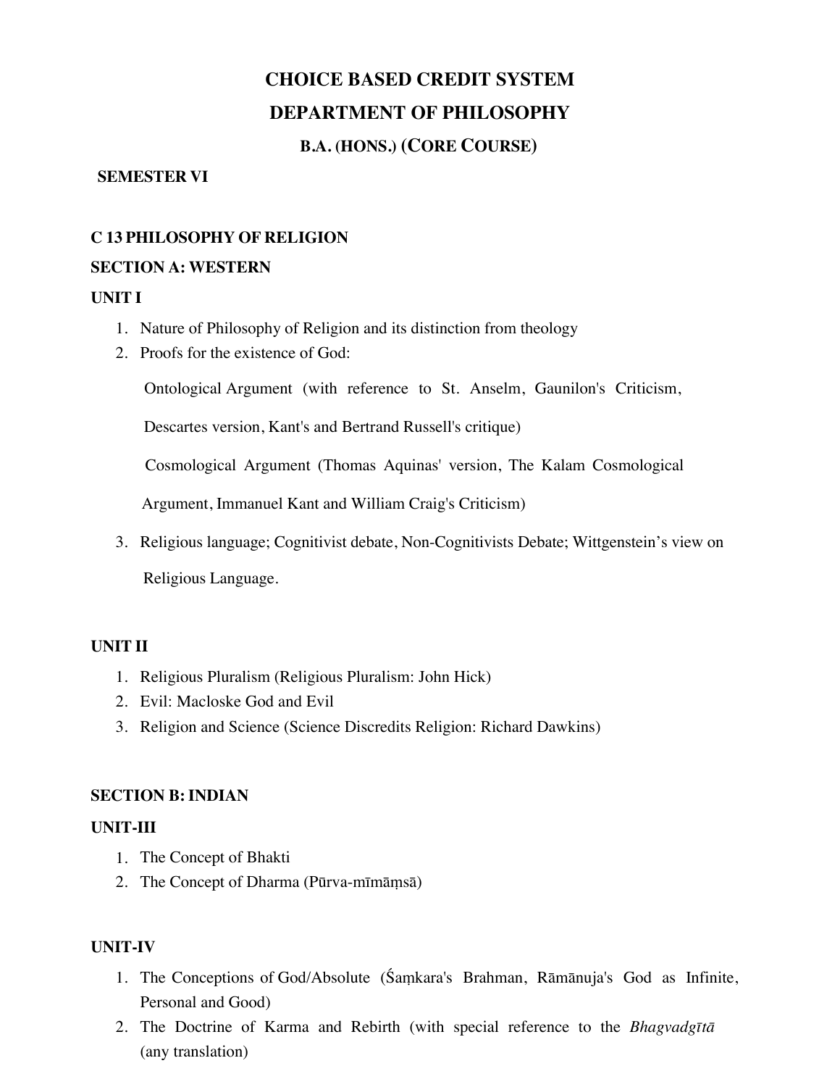# **B.A. (HONS.) (CORE COURSE)**

#### **SEMESTER VI**

### **C 13 PHILOSOPHY OF RELIGION**

#### **SECTION A: WESTERN**

### **UNIT I**

- 1. Nature of Philosophy of Religion and its distinction from theology
- 2. Proofs for the existence of God:

Ontological Argument (with reference to St. Anselm, Gaunilon's Criticism,

Descartes version, Kant's and Bertrand Russell's critique)

Cosmological Argument (Thomas Aquinas' version, The Kalam Cosmological

Argument, Immanuel Kant and William Craig's Criticism)

3. Religious language; Cognitivist debate, Non-Cognitivists Debate; Wittgenstein's view on Religious Language.

### **UNIT II**

- 1. Religious Pluralism (Religious Pluralism: John Hick)
- 2. Evil: Macloske God and Evil
- 3. Religion and Science (Science Discredits Religion: Richard Dawkins)

#### **SECTION B:INDIAN**

### **UNIT-III**

- 1. The Concept of Bhakti
- 2. The Concept of Dharma (Pūrva-mīmāṃsā)

### **UNIT-IV**

- 1. The Conceptions of God/Absolute (Śaṃkara's Brahman, Rāmānuja's God as Infinite, Personal and Good)
- 2. The Doctrine of Karma and Rebirth (with special reference to the *Bhagvadgītā* (any translation)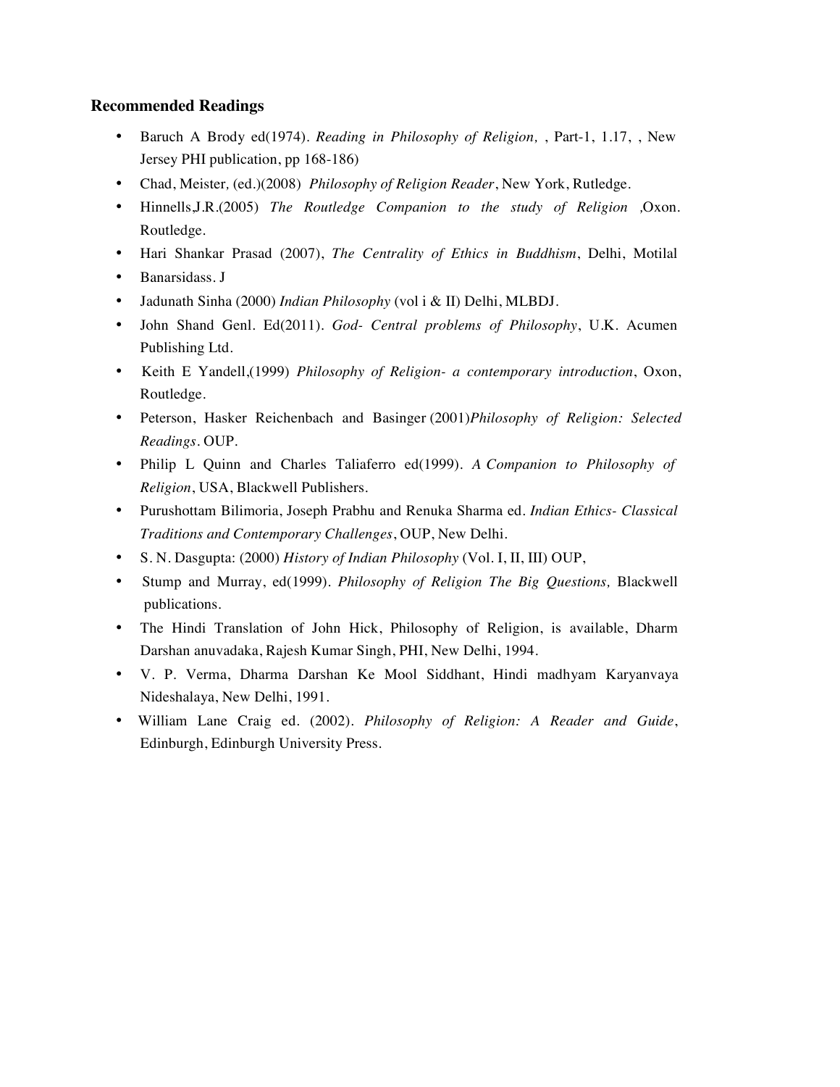- Baruch A Brody ed(1974). *Reading in Philosophy of Religion,* , Part-1, 1.17, , New Jersey PHI publication, pp 168-186)
- Chad, Meister*,* (ed.)(2008) *Philosophy of Religion Reader*, New York, Rutledge.
- Hinnells,J.R.(2005) *The Routledge Companion to the study of Religion ,*Oxon. Routledge.
- Hari Shankar Prasad (2007), *The Centrality of Ethics in Buddhism*, Delhi, Motilal
- Banarsidass. J
- Jadunath Sinha (2000) *Indian Philosophy* (vol i & II) Delhi, MLBDJ.
- John Shand Genl. Ed(2011)*. God- Central problems of Philosophy*, U.K. Acumen Publishing Ltd.
- Keith E Yandell,(1999) *Philosophy of Religion- a contemporary introduction*, Oxon, Routledge.
- Peterson, Hasker Reichenbach and Basinger (2001)*Philosophy of Religion: Selected Readings.* OUP.
- Philip L Quinn and Charles Taliaferro ed(1999)*. A Companion to Philosophy of Religion*, USA, Blackwell Publishers.
- Purushottam Bilimoria, Joseph Prabhu and Renuka Sharma ed*. Indian Ethics- Classical Traditions and Contemporary Challenges*, OUP, New Delhi.
- S. N. Dasgupta: (2000) *History of Indian Philosophy* (Vol. I, II, III) OUP,
- Stump and Murray, ed(1999)*. Philosophy of Religion The Big Questions,* Blackwell publications.
- The Hindi Translation of John Hick, Philosophy of Religion, is available, Dharm Darshan anuvadaka, Rajesh Kumar Singh, PHI, New Delhi, 1994.
- V. P. Verma, Dharma Darshan Ke Mool Siddhant, Hindi madhyam Karyanvaya Nideshalaya, New Delhi, 1991.
- William Lane Craig ed. (2002). *Philosophy of Religion: A Reader and Guide*, Edinburgh, Edinburgh University Press.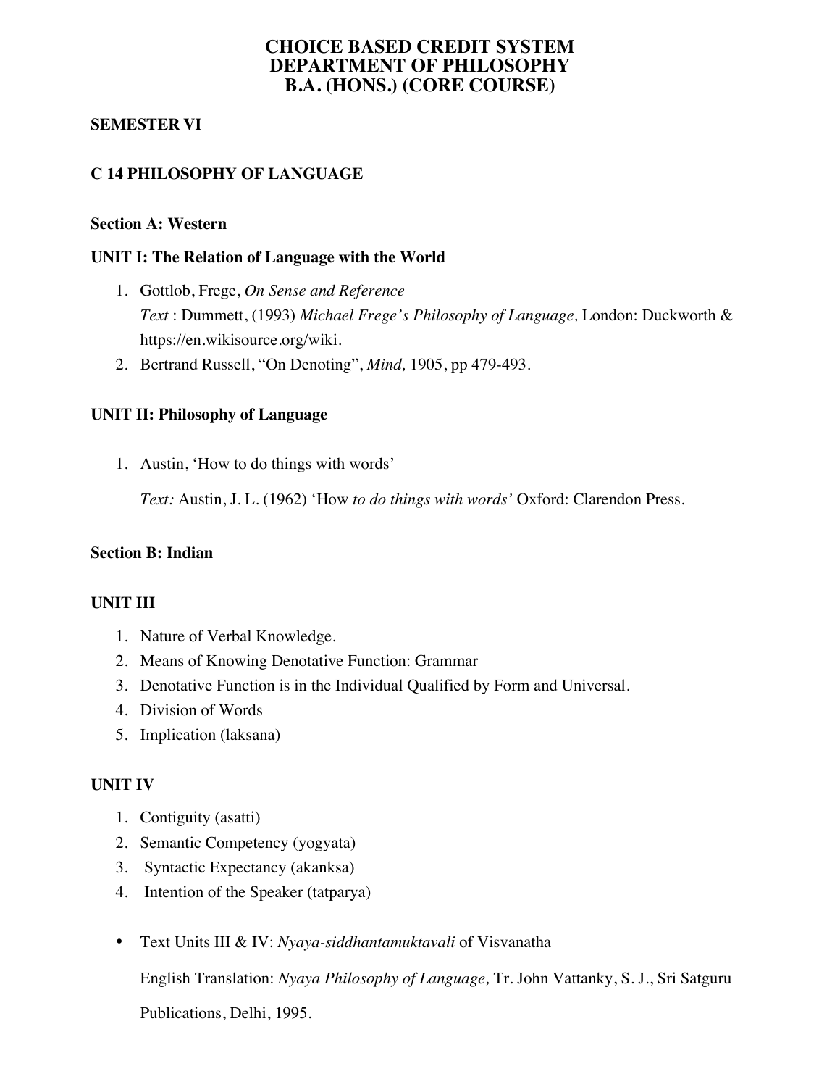# **CHOICE BASED CREDIT SYSTEM DEPARTMENT OF PHILOSOPHY B.A. (HONS.) (CORE COURSE)**

### **SEMESTER VI**

# **C 14 PHILOSOPHY OF LANGUAGE**

#### **Section A: Western**

#### **UNIT I: The Relation of Language with the World**

- 1. Gottlob, Frege, *On Sense and Reference Text* : Dummett, (1993) *Michael Frege's Philosophy of Language,* London: Duckworth & https://en.wikisource.org/wiki.
- 2. Bertrand Russell, "On Denoting", *Mind,* 1905, pp 479-493.

#### **UNIT II: Philosophy of Language**

1. Austin, 'How to do things with words'

*Text:* Austin, J. L. (1962) 'How *to do things with words'* Oxford: Clarendon Press.

#### **Section B: Indian**

#### **UNIT III**

- 1. Nature of Verbal Knowledge.
- 2. Means of Knowing Denotative Function: Grammar
- 3. Denotative Function is in the Individual Qualified by Form and Universal.
- 4. Division of Words
- 5. Implication (laksana)

#### **UNIT IV**

- 1. Contiguity (asatti)
- 2. Semantic Competency (yogyata)
- 3. Syntactic Expectancy (akanksa)
- 4. Intention of the Speaker (tatparya)
- Text Units III & IV: *Nyaya-siddhantamuktavali* of Visvanatha

English Translation: *Nyaya Philosophy of Language,* Tr. John Vattanky, S. J., Sri Satguru

Publications, Delhi, 1995.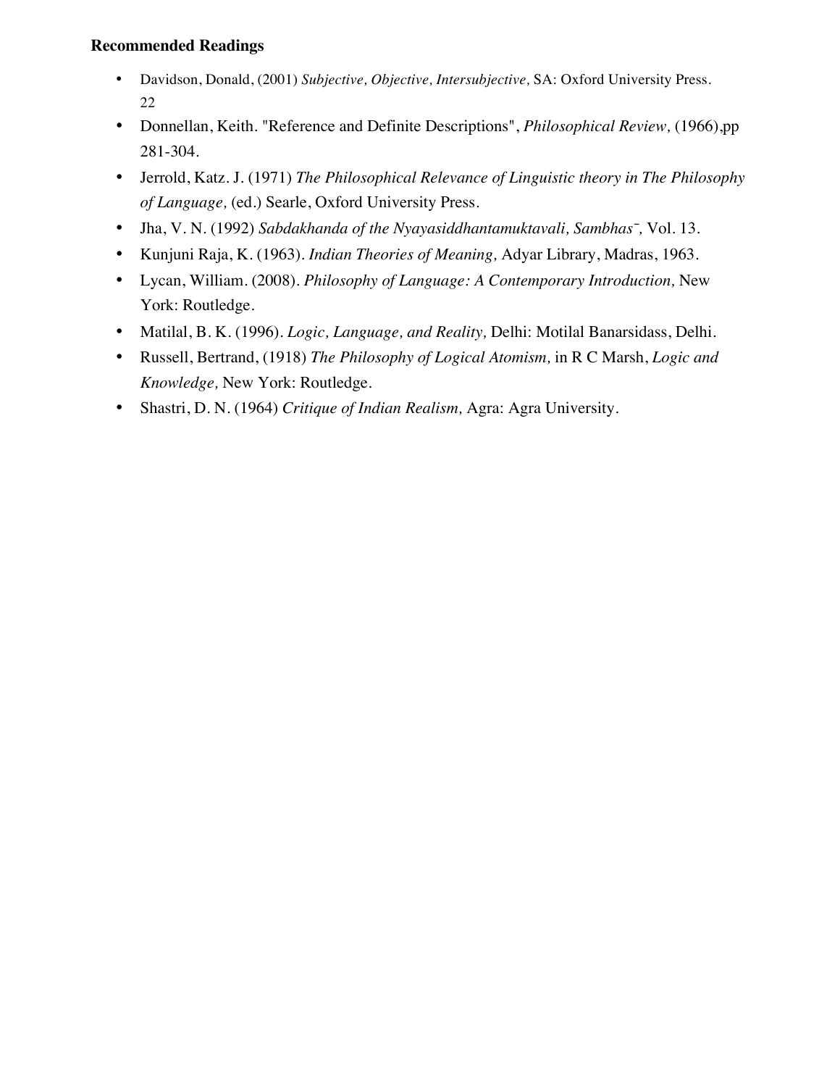- Davidson, Donald, (2001) *Subjective, Objective, Intersubjective,* SA: Oxford University Press. 22
- Donnellan, Keith. "Reference and Definite Descriptions", *Philosophical Review,* (1966),pp 281-304.
- Jerrold, Katz. J. (1971) *The Philosophical Relevance of Linguistic theory in The Philosophy of Language,* (ed.) Searle, Oxford University Press.
- Jha, V. N. (1992) *Sabdakhanda of the Nyayasiddhantamuktavali, Sambhas̄,* Vol. 13.
- Kunjuni Raja, K. (1963). *Indian Theories of Meaning,* Adyar Library, Madras, 1963.
- Lycan, William. (2008). *Philosophy of Language: A Contemporary Introduction,* New York: Routledge.
- Matilal, B. K. (1996). *Logic, Language, and Reality,* Delhi: Motilal Banarsidass, Delhi.
- Russell, Bertrand, (1918) *The Philosophy of Logical Atomism,* in R C Marsh, *Logic and Knowledge,* New York: Routledge.
- Shastri, D. N. (1964) *Critique of Indian Realism,* Agra: Agra University.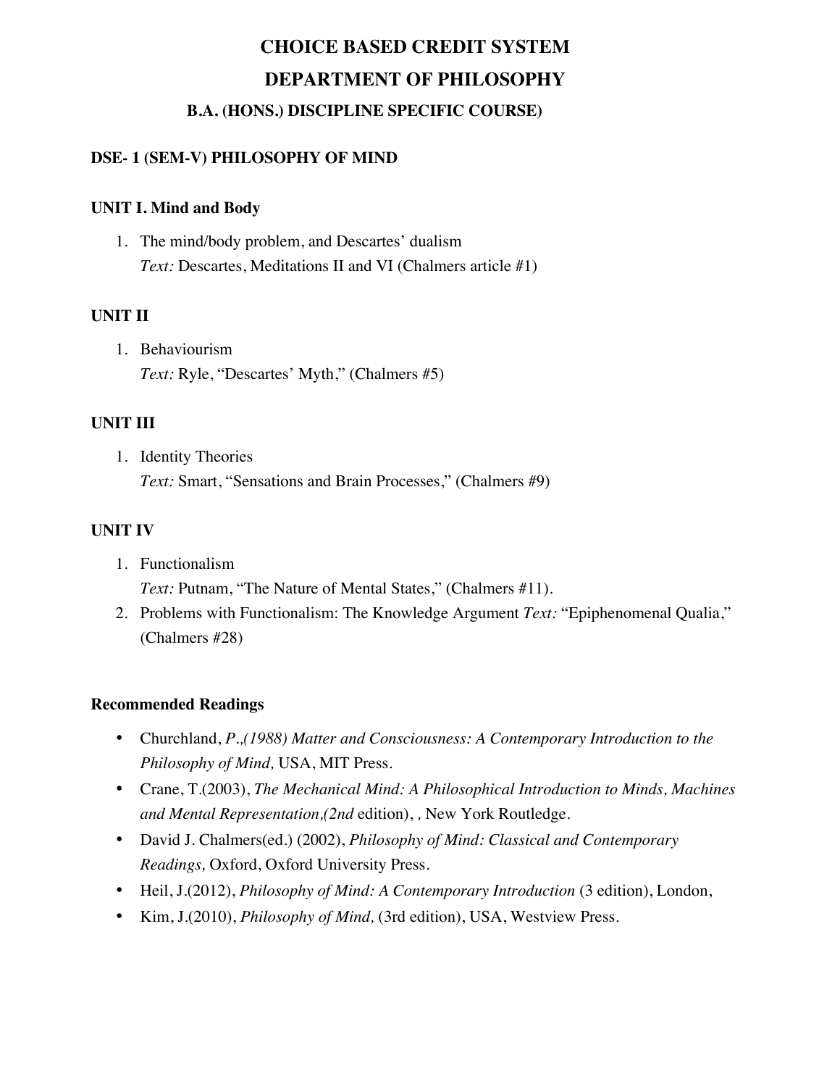# **DSE- 1 (SEM-V) PHILOSOPHY OF MIND**

# **UNIT I. Mind and Body**

1. The mind/body problem, and Descartes' dualism *Text:* Descartes, Meditations II and VI (Chalmers article #1)

# **UNIT II**

1. Behaviourism *Text:* Ryle, "Descartes' Myth," (Chalmers #5)

# **UNIT III**

1. Identity Theories *Text:* Smart, "Sensations and Brain Processes," (Chalmers #9)

# **UNIT IV**

- 1. Functionalism *Text:* Putnam, "The Nature of Mental States," (Chalmers #11).
- 2. Problems with Functionalism: The Knowledge Argument *Text:* "Epiphenomenal Qualia," (Chalmers #28)

- Churchland, *P.,(1988) Matter and Consciousness: A Contemporary Introduction to the Philosophy of Mind,* USA, MIT Press.
- Crane, T.(2003), *The Mechanical Mind: A Philosophical Introduction to Minds, Machines and Mental Representation,(2nd* edition), *,* New York Routledge.
- David J. Chalmers(ed.) (2002), *Philosophy of Mind: Classical and Contemporary Readings,* Oxford, Oxford University Press.
- Heil, J.(2012), *Philosophy of Mind: A Contemporary Introduction* (3 edition), London,
- Kim, J.(2010), *Philosophy of Mind,* (3rd edition), USA, Westview Press.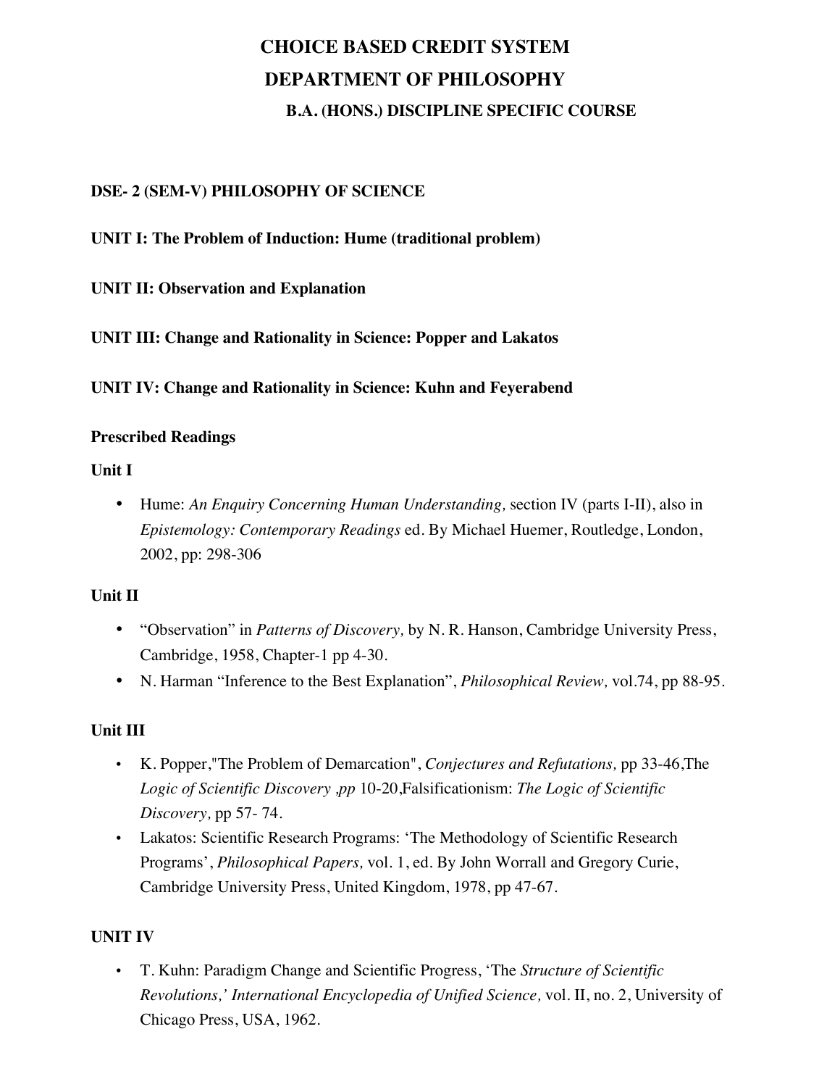# **DSE- 2 (SEM-V) PHILOSOPHY OF SCIENCE**

### **UNIT I: The Problem of Induction: Hume (traditional problem)**

# **UNIT II: Observation and Explanation**

**UNIT III: Change and Rationality in Science: Popper and Lakatos** 

**UNIT IV: Change and Rationality in Science: Kuhn and Feyerabend** 

#### **Prescribed Readings**

### **Unit I**

• Hume: *An Enquiry Concerning Human Understanding,* section IV (parts I-II), also in *Epistemology: Contemporary Readings* ed. By Michael Huemer, Routledge, London, 2002, pp: 298-306

### **Unit II**

- "Observation" in *Patterns of Discovery,* by N. R. Hanson, Cambridge University Press, Cambridge, 1958, Chapter-1 pp 4-30.
- N. Harman "Inference to the Best Explanation", *Philosophical Review,* vol.74, pp 88-95.

### **Unit III**

- K. Popper,"The Problem of Demarcation", *Conjectures and Refutations,* pp 33-46,The *Logic of Scientific Discovery ,pp* 10-20,Falsificationism: *The Logic of Scientific Discovery,* pp 57- 74.
- Lakatos: Scientific Research Programs: 'The Methodology of Scientific Research Programs', *Philosophical Papers,* vol. 1, ed. By John Worrall and Gregory Curie, Cambridge University Press, United Kingdom, 1978, pp 47-67.

### **UNIT IV**

• T. Kuhn: Paradigm Change and Scientific Progress, 'The *Structure of Scientific Revolutions,' International Encyclopedia of Unified Science,* vol. II, no. 2, University of Chicago Press, USA, 1962.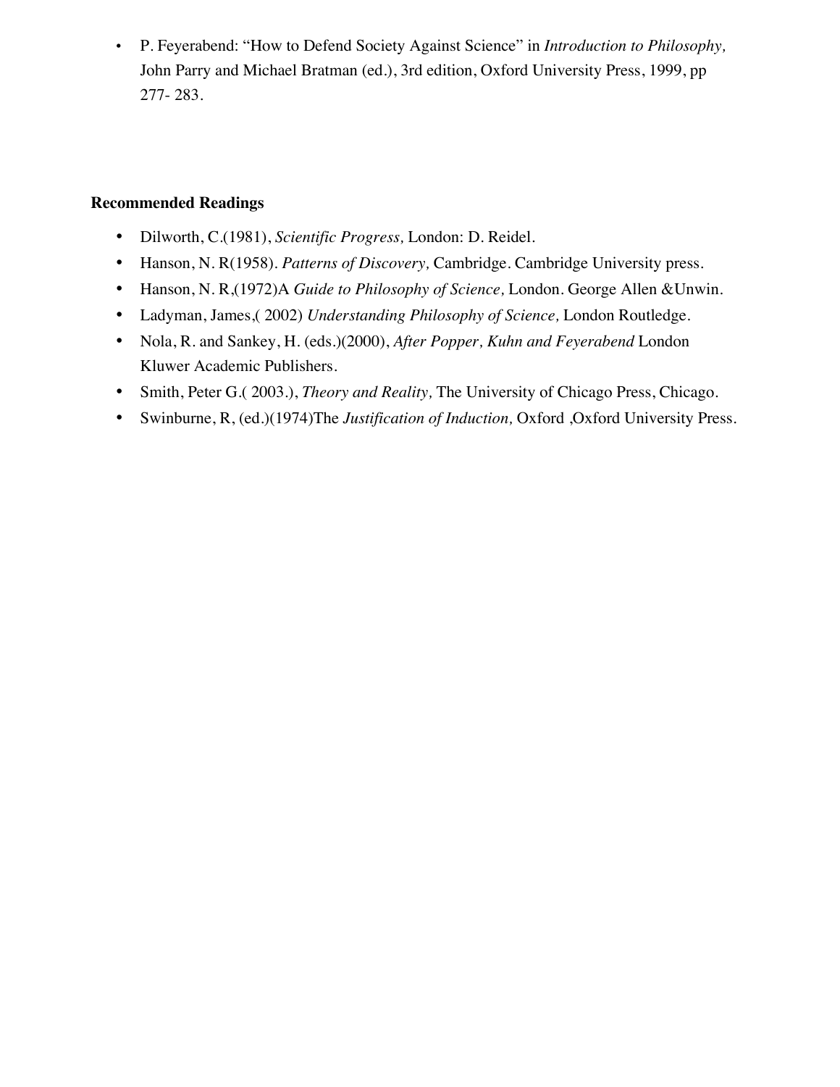• P. Feyerabend: "How to Defend Society Against Science" in *Introduction to Philosophy,*  John Parry and Michael Bratman (ed.), 3rd edition, Oxford University Press, 1999, pp 277- 283.

- Dilworth, C.(1981), *Scientific Progress,* London: D. Reidel.
- Hanson, N. R(1958). *Patterns of Discovery,* Cambridge. Cambridge University press.
- Hanson, N. R,(1972)A *Guide to Philosophy of Science,* London. George Allen &Unwin.
- Ladyman, James,( 2002) *Understanding Philosophy of Science,* London Routledge.
- Nola, R. and Sankey, H. (eds.)(2000), *After Popper, Kuhn and Feyerabend* London Kluwer Academic Publishers.
- Smith, Peter G.( 2003.), *Theory and Reality,* The University of Chicago Press, Chicago.
- Swinburne, R, (ed.)(1974)The *Justification of Induction,* Oxford ,Oxford University Press.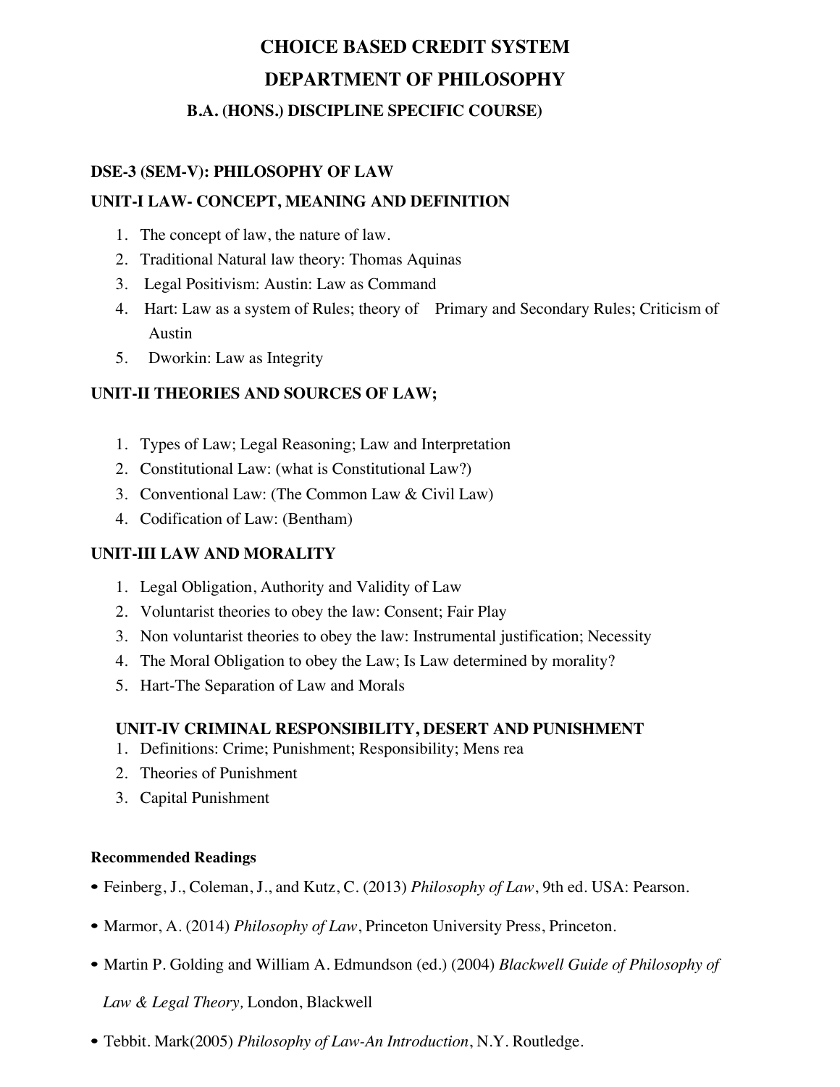#### **DSE-3 (SEM-V): PHILOSOPHY OF LAW**

#### **UNIT-I LAW- CONCEPT, MEANING AND DEFINITION**

- 1. The concept of law, the nature of law.
- 2. Traditional Natural law theory: Thomas Aquinas
- 3. Legal Positivism: Austin: Law as Command
- 4. Hart: Law as a system of Rules; theory of Primary and Secondary Rules; Criticism of Austin
- 5. Dworkin: Law as Integrity

#### **UNIT-II THEORIES AND SOURCES OF LAW;**

- 1. Types of Law; Legal Reasoning; Law and Interpretation
- 2. Constitutional Law: (what is Constitutional Law?)
- 3. Conventional Law: (The Common Law & Civil Law)
- 4. Codification of Law: (Bentham)

#### **UNIT-III LAW AND MORALITY**

- 1. Legal Obligation, Authority and Validity of Law
- 2. Voluntarist theories to obey the law: Consent; Fair Play
- 3. Non voluntarist theories to obey the law: Instrumental justification; Necessity
- 4. The Moral Obligation to obey the Law; Is Law determined by morality?
- 5. Hart-The Separation of Law and Morals

#### **UNIT-IV CRIMINAL RESPONSIBILITY, DESERT AND PUNISHMENT**

- 1. Definitions: Crime; Punishment; Responsibility; Mens rea
- 2. Theories of Punishment
- 3. Capital Punishment

#### **Recommended Readings**

- Feinberg, J., Coleman, J., and Kutz, C. (2013) *Philosophy of Law*, 9th ed. USA: Pearson.
- Marmor, A. (2014) *Philosophy of Law*, Princeton University Press, Princeton.
- Martin P. Golding and William A. Edmundson (ed.) (2004) *Blackwell Guide of Philosophy of*

 *Law & Legal Theory,* London, Blackwell

• Tebbit. Mark(2005) *Philosophy of Law-An Introduction*, N.Y. Routledge.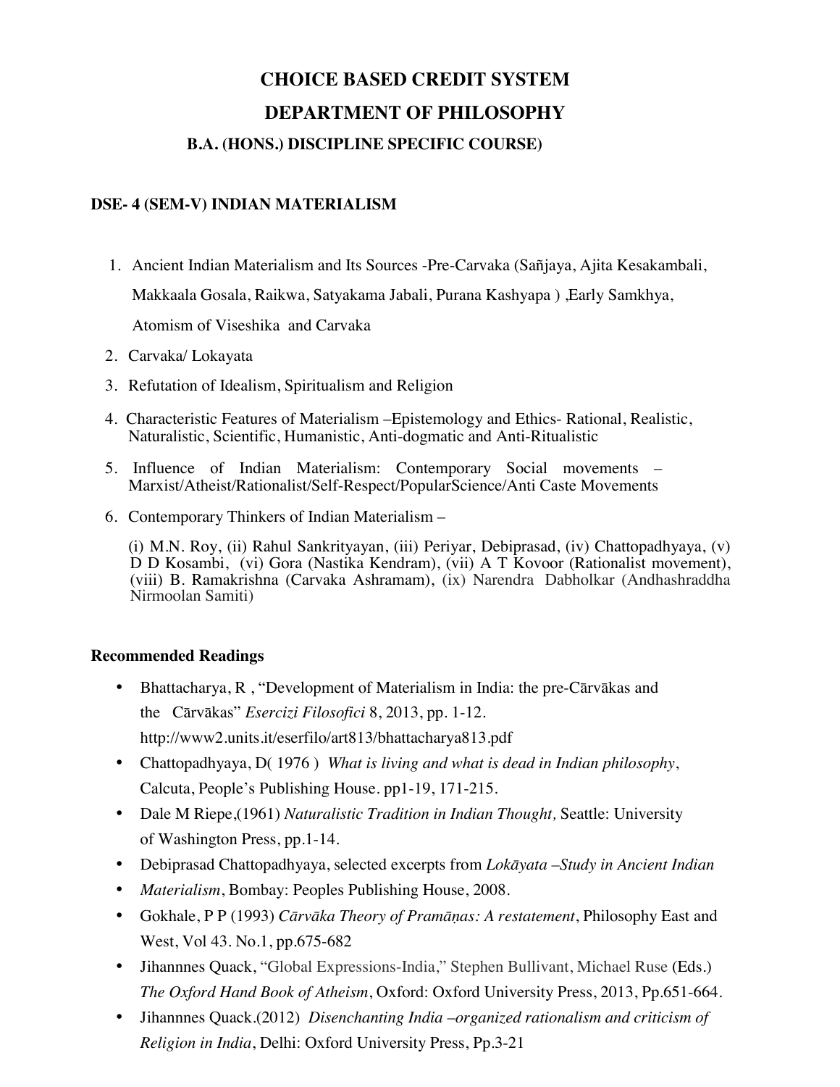#### **DSE- 4 (SEM-V) INDIAN MATERIALISM**

- 1. Ancient Indian Materialism and Its Sources -Pre-Carvaka (Sañjaya, Ajita Kesakambali, Makkaala Gosala, Raikwa, Satyakama Jabali, Purana Kashyapa ) ,Early Samkhya, Atomism of Viseshika and Carvaka
- 2. Carvaka/ Lokayata
- 3. Refutation of Idealism, Spiritualism and Religion
- 4. Characteristic Features of Materialism –Epistemology and Ethics- Rational, Realistic, Naturalistic, Scientific, Humanistic, Anti-dogmatic and Anti-Ritualistic
- 5. Influence of Indian Materialism: Contemporary Social movements Marxist/Atheist/Rationalist/Self-Respect/PopularScience/Anti Caste Movements
- 6. Contemporary Thinkers of Indian Materialism –

(i) M.N. Roy, (ii) Rahul Sankrityayan, (iii) Periyar, Debiprasad, (iv) Chattopadhyaya, (v) D D Kosambi, (vi) Gora (Nastika Kendram), (vii) A T Kovoor (Rationalist movement), (viii) B. Ramakrishna (Carvaka Ashramam), (ix) Narendra Dabholkar (Andhashraddha Nirmoolan Samiti)

- Bhattacharya, R , "Development of Materialism in India: the pre-Cārvākas and the Cārvākas" *Esercizi Filosofici* 8, 2013, pp. 1-12. http://www2.units.it/eserfilo/art813/bhattacharya813.pdf
- Chattopadhyaya, D( 1976 ) *What is living and what is dead in Indian philosophy*, Calcuta, People's Publishing House. pp1-19, 171-215.
- Dale M Riepe,(1961) *Naturalistic Tradition in Indian Thought,* Seattle: University of Washington Press, pp.1-14.
- Debiprasad Chattopadhyaya, selected excerpts from *Lokāyata –Study in Ancient Indian*
- *Materialism*, Bombay: Peoples Publishing House, 2008.
- Gokhale, P P (1993) *Cārvāka Theory of Pramāṇas: A restatement*, Philosophy East and West, Vol 43. No.1, pp.675-682
- Jihannnes Quack, "Global Expressions-India," Stephen Bullivant, Michael Ruse (Eds.) *The Oxford Hand Book of Atheism*, Oxford: Oxford University Press, 2013, Pp.651-664.
- Jihannnes Quack.(2012) *Disenchanting India –organized rationalism and criticism of Religion in India*, Delhi: Oxford University Press, Pp.3-21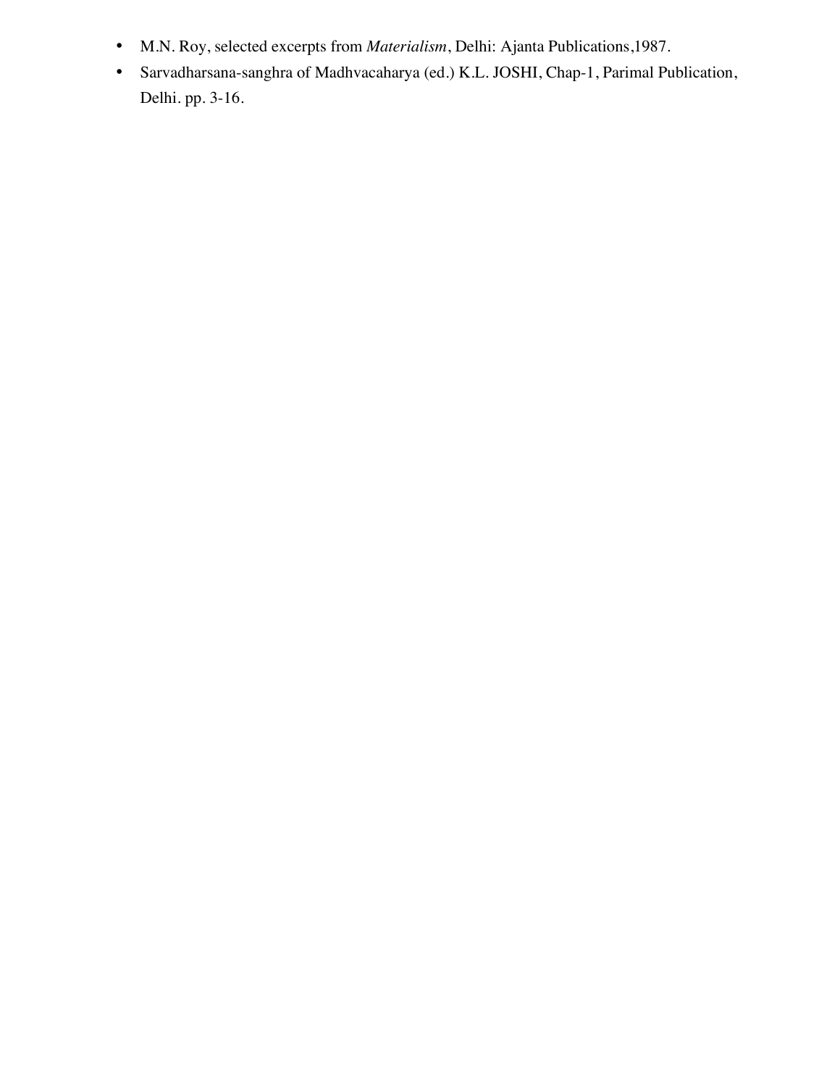- M.N. Roy, selected excerpts from *Materialism*, Delhi: Ajanta Publications,1987.
- Sarvadharsana-sanghra of Madhvacaharya (ed.) K.L. JOSHI, Chap-1, Parimal Publication, Delhi. pp. 3-16.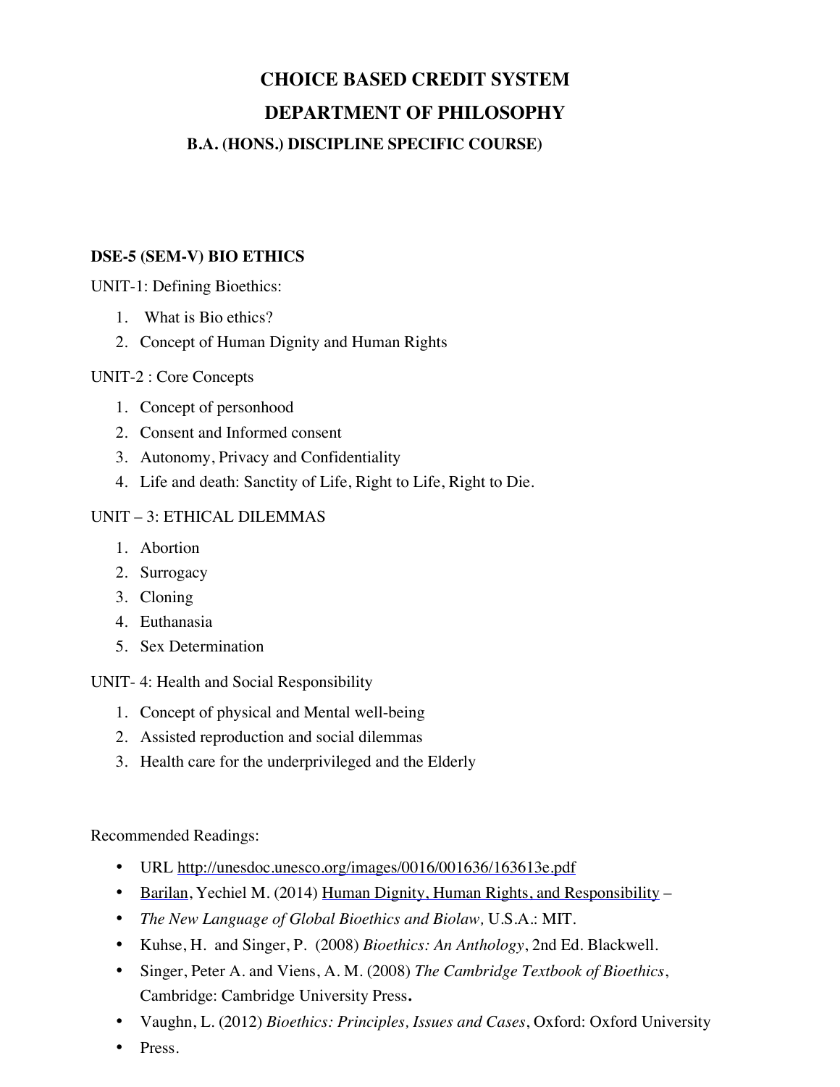#### **DSE-5 (SEM-V) BIO ETHICS**

UNIT-1: Defining Bioethics:

- 1. What is Bio ethics?
- 2. Concept of Human Dignity and Human Rights

#### UNIT-2 : Core Concepts

- 1. Concept of personhood
- 2. Consent and Informed consent
- 3. Autonomy, Privacy and Confidentiality
- 4. Life and death: Sanctity of Life, Right to Life, Right to Die.

#### UNIT – 3: ETHICAL DILEMMAS

- 1. Abortion
- 2. Surrogacy
- 3. Cloning
- 4. Euthanasia
- 5. Sex Determination

UNIT- 4: Health and Social Responsibility

- 1. Concept of physical and Mental well-being
- 2. Assisted reproduction and social dilemmas
- 3. Health care for the underprivileged and the Elderly

- URL http://unesdoc.unesco.org/images/0016/001636/163613e.pdf
- Barilan, Yechiel M. (2014) Human Dignity, Human Rights, and Responsibility –
- *The New Language of Global Bioethics and Biolaw,* U.S.A.: MIT.
- Kuhse, H. and Singer, P. (2008) *Bioethics: An Anthology*, 2nd Ed. Blackwell.
- Singer, Peter A. and Viens, A. M. (2008) *The Cambridge Textbook of Bioethics*, Cambridge: Cambridge University Press**.**
- Vaughn, L. (2012) *Bioethics: Principles, Issues and Cases*, Oxford: Oxford University
- Press.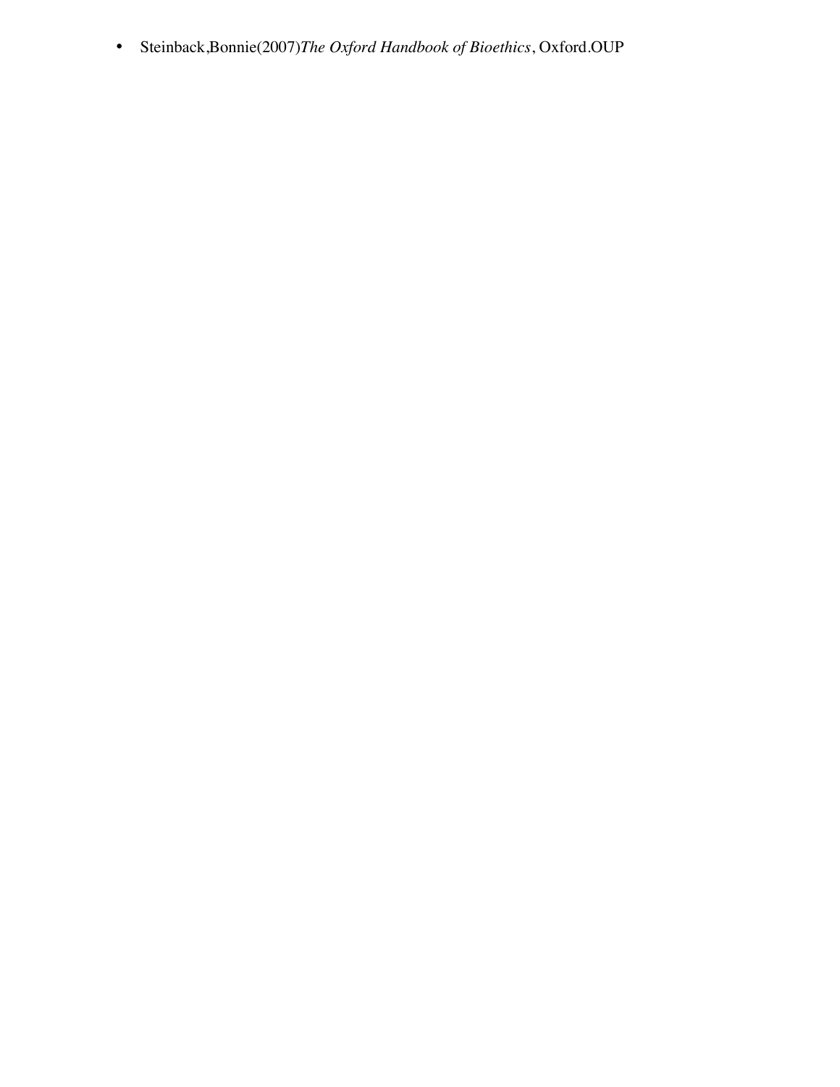• Steinback,Bonnie(2007)*The Oxford Handbook of Bioethics*, Oxford.OUP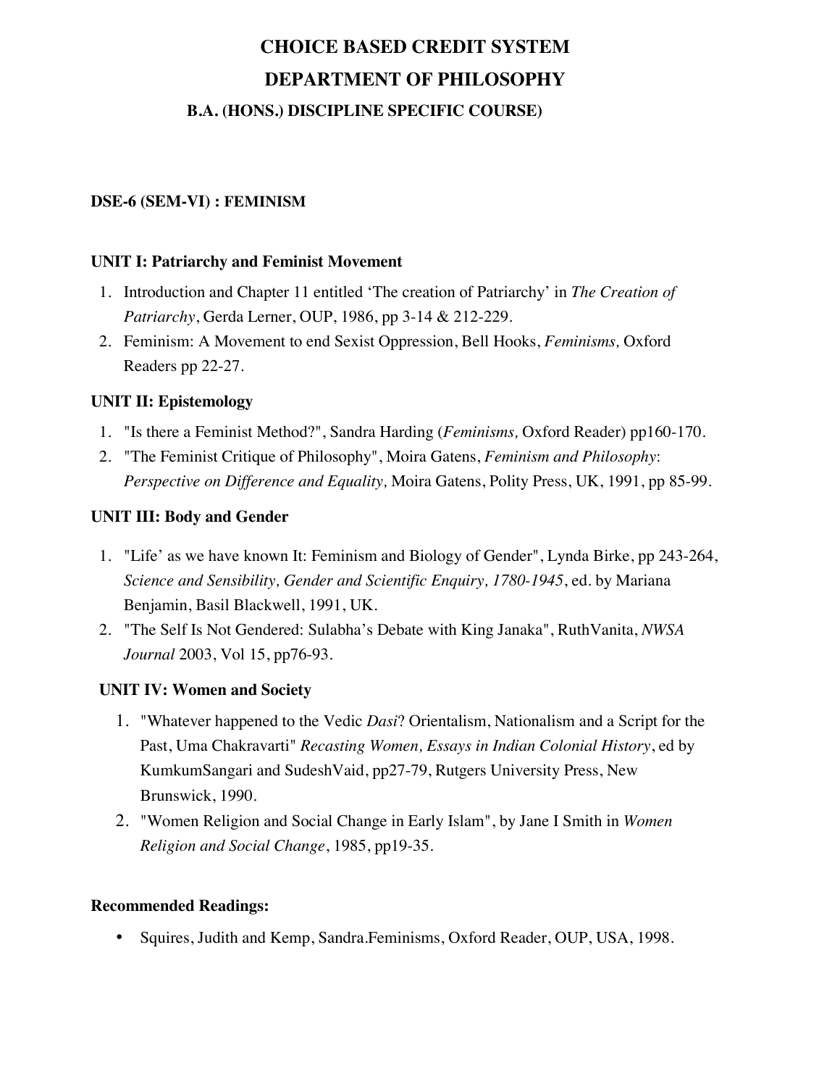#### **DSE-6 (SEM-VI) : FEMINISM**

#### **UNIT I: Patriarchy and Feminist Movement**

- 1. Introduction and Chapter 11 entitled 'The creation of Patriarchy' in *The Creation of Patriarchy*, Gerda Lerner, OUP, 1986, pp 3-14 & 212-229.
- 2. Feminism: A Movement to end Sexist Oppression, Bell Hooks, *Feminisms,* Oxford Readers pp 22-27.

#### **UNIT II: Epistemology**

- 1. "Is there a Feminist Method?", Sandra Harding (*Feminisms,* Oxford Reader) pp160-170.
- 2. "The Feminist Critique of Philosophy", Moira Gatens, *Feminism and Philosophy*: *Perspective on Difference and Equality,* Moira Gatens, Polity Press, UK, 1991, pp 85-99.

#### **UNIT III: Body and Gender**

- 1. "Life' as we have known It: Feminism and Biology of Gender", Lynda Birke, pp 243-264, *Science and Sensibility, Gender and Scientific Enquiry, 1780-1945*, ed. by Mariana Benjamin, Basil Blackwell, 1991, UK.
- 2. "The Self Is Not Gendered: Sulabha's Debate with King Janaka", RuthVanita, *NWSA Journal* 2003, Vol 15, pp76-93.

### **UNIT IV: Women and Society**

- 1. "Whatever happened to the Vedic *Dasi*? Orientalism, Nationalism and a Script for the Past, Uma Chakravarti" *Recasting Women, Essays in Indian Colonial History*, ed by KumkumSangari and SudeshVaid, pp27-79, Rutgers University Press, New Brunswick, 1990.
- 2. "Women Religion and Social Change in Early Islam", by Jane I Smith in *Women Religion and Social Change*, 1985, pp19-35.

#### **Recommended Readings:**

• Squires, Judith and Kemp, Sandra.Feminisms, Oxford Reader, OUP, USA, 1998.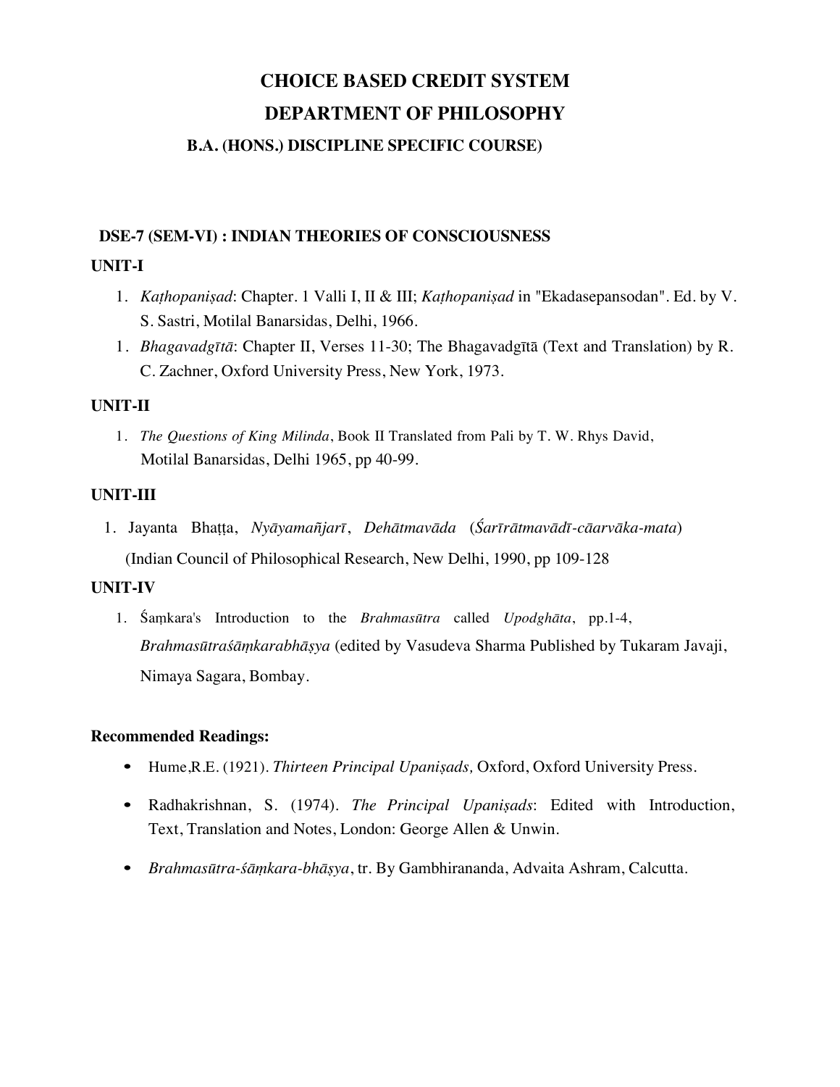#### **B.A. (HONS.) DISCIPLINE SPECIFIC COURSE)**

#### **DSE-7 (SEM-VI) : INDIAN THEORIES OF CONSCIOUSNESS**

#### **UNIT-I**

- 1. *Kaṭhopaniṣad*: Chapter. 1 Valli I, II & III; *Kaṭhopaniṣad* in "Ekadasepansodan". Ed. by V. S. Sastri, Motilal Banarsidas, Delhi, 1966.
- 1. *Bhagavadgītā*: Chapter II, Verses 11-30; The Bhagavadgītā (Text and Translation) by R. C. Zachner, Oxford University Press, New York, 1973.

#### **UNIT-II**

1. *The Questions of King Milinda*, Book II Translated from Pali by T. W. Rhys David, Motilal Banarsidas, Delhi 1965, pp 40-99.

#### **UNIT-III**

1. Jayanta Bhatta, Nyāyamañjarī, Dehātmavāda (Śarīrātmavādī-cāarvāka-mata) (Indian Council of Philosophical Research, New Delhi, 1990, pp 109-128

### **UNIT-IV**

1. Śaṃkara's Introduction to the *Brahmasūtra* called *Upodghāta*, pp.1-4, *Brahmasūtraśāṃkarabhāṣya* (edited by Vasudeva Sharma Published by Tukaram Javaji, Nimaya Sagara, Bombay.

- Hume,R.E. (1921). *Thirteen Principal Upaniṣads,* Oxford, Oxford University Press.
- Radhakrishnan, S. (1974). *The Principal Upaniṣads*: Edited with Introduction, Text, Translation and Notes, London: George Allen & Unwin.
- *Brahmasūtra-śāṃkara-bhāṣya*, tr. By Gambhirananda, Advaita Ashram, Calcutta.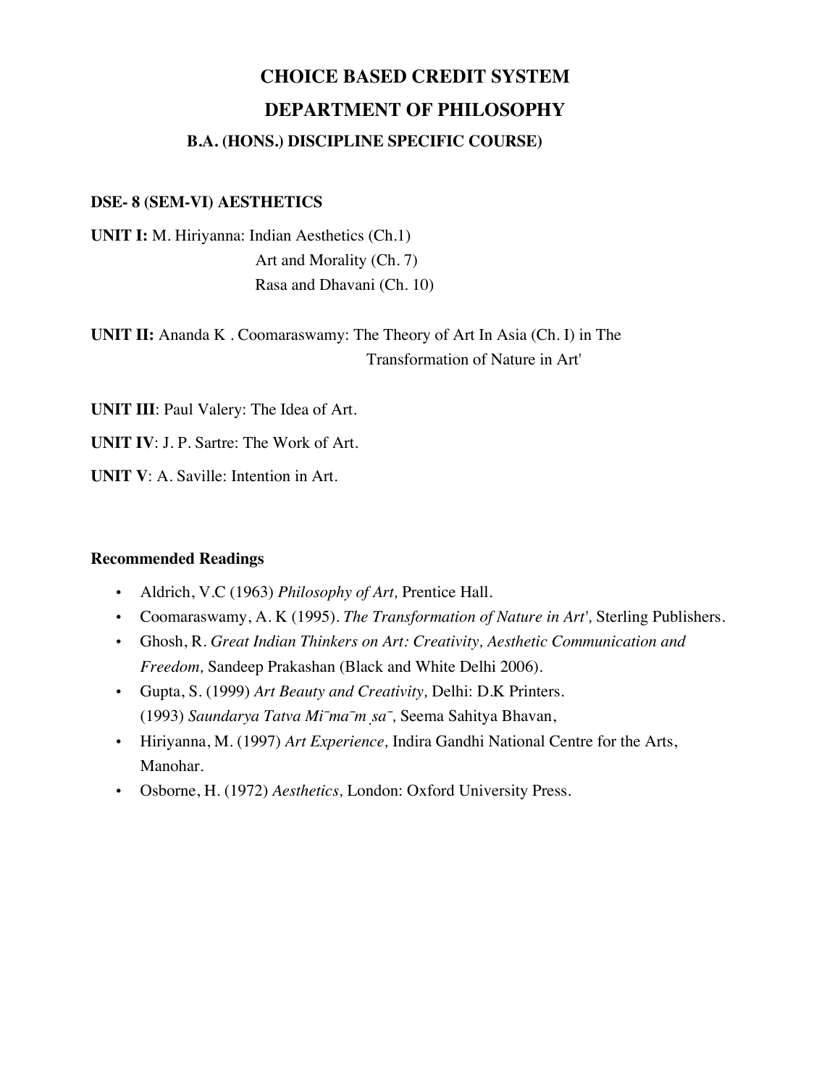#### **DSE- 8 (SEM-VI) AESTHETICS**

**UNIT I:** M. Hiriyanna: Indian Aesthetics (Ch.1) Art and Morality (Ch. 7) Rasa and Dhavani (Ch. 10)

**UNIT II:** Ananda K . Coomaraswamy: The Theory of Art In Asia (Ch. I) in The Transformation of Nature in Art'

**UNIT III**: Paul Valery: The Idea of Art.

**UNIT IV**: J. P. Sartre: The Work of Art.

**UNIT V**: A. Saville: Intention in Art.

- Aldrich, V.C (1963) *Philosophy of Art,* Prentice Hall.
- Coomaraswamy, A. K (1995). *The Transformation of Nature in Art',* Sterling Publishers.
- Ghosh, R. *Great Indian Thinkers on Art: Creativity, Aesthetic Communication and Freedom,* Sandeep Prakashan (Black and White Delhi 2006).
- Gupta, S. (1999) *Art Beauty and Creativity,* Delhi: D.K Printers. (1993) *Saundarya Tatva Mīmāṃsā,* Seema Sahitya Bhavan,
- Hiriyanna, M. (1997) *Art Experience,* Indira Gandhi National Centre for the Arts, Manohar.
- Osborne, H. (1972) *Aesthetics,* London: Oxford University Press.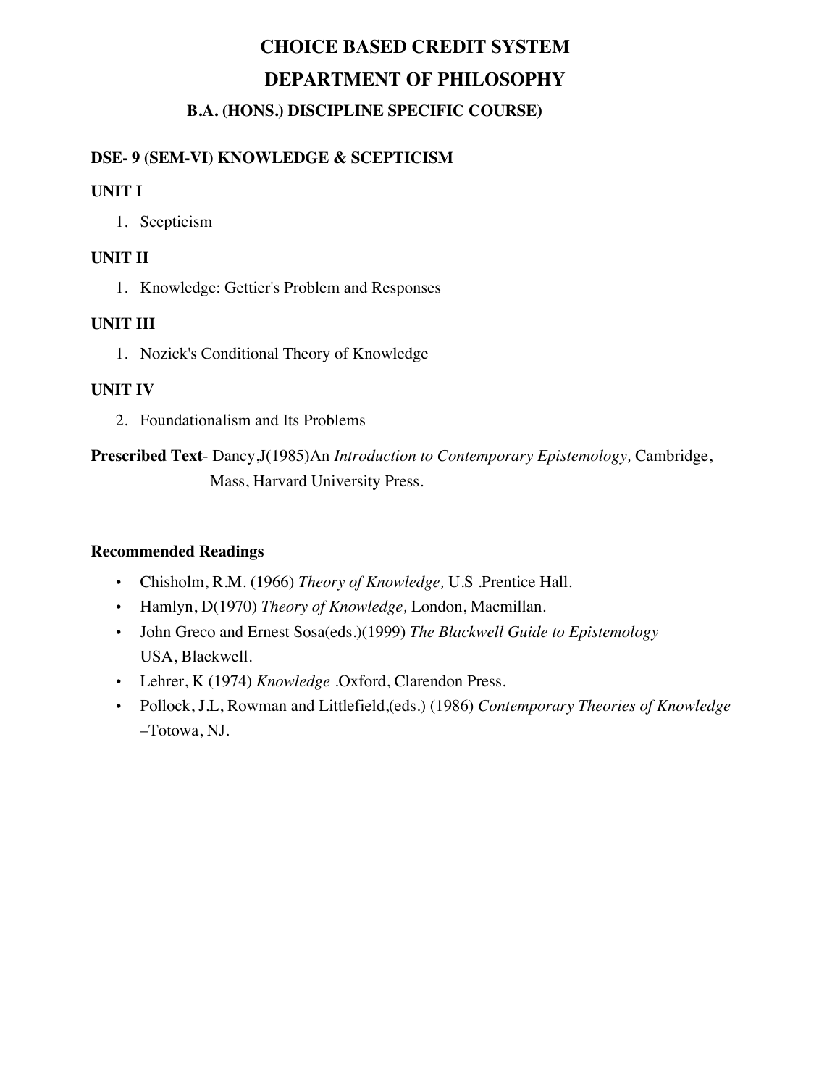# **DSE- 9 (SEM-VI) KNOWLEDGE & SCEPTICISM**

### **UNIT I**

1. Scepticism

### **UNIT II**

1. Knowledge: Gettier's Problem and Responses

# **UNIT III**

1. Nozick's Conditional Theory of Knowledge

# **UNIT IV**

2. Foundationalism and Its Problems

**Prescribed Text**- Dancy,J(1985)An *Introduction to Contemporary Epistemology,* Cambridge, Mass, Harvard University Press.

- Chisholm, R.M. (1966) *Theory of Knowledge,* U.S .Prentice Hall.
- Hamlyn, D(1970) *Theory of Knowledge,* London, Macmillan.
- John Greco and Ernest Sosa(eds.)(1999) *The Blackwell Guide to Epistemology*  USA, Blackwell.
- Lehrer, K (1974) *Knowledge* .Oxford, Clarendon Press.
- Pollock, J.L, Rowman and Littlefield,(eds.) (1986) *Contemporary Theories of Knowledge*  –Totowa, NJ.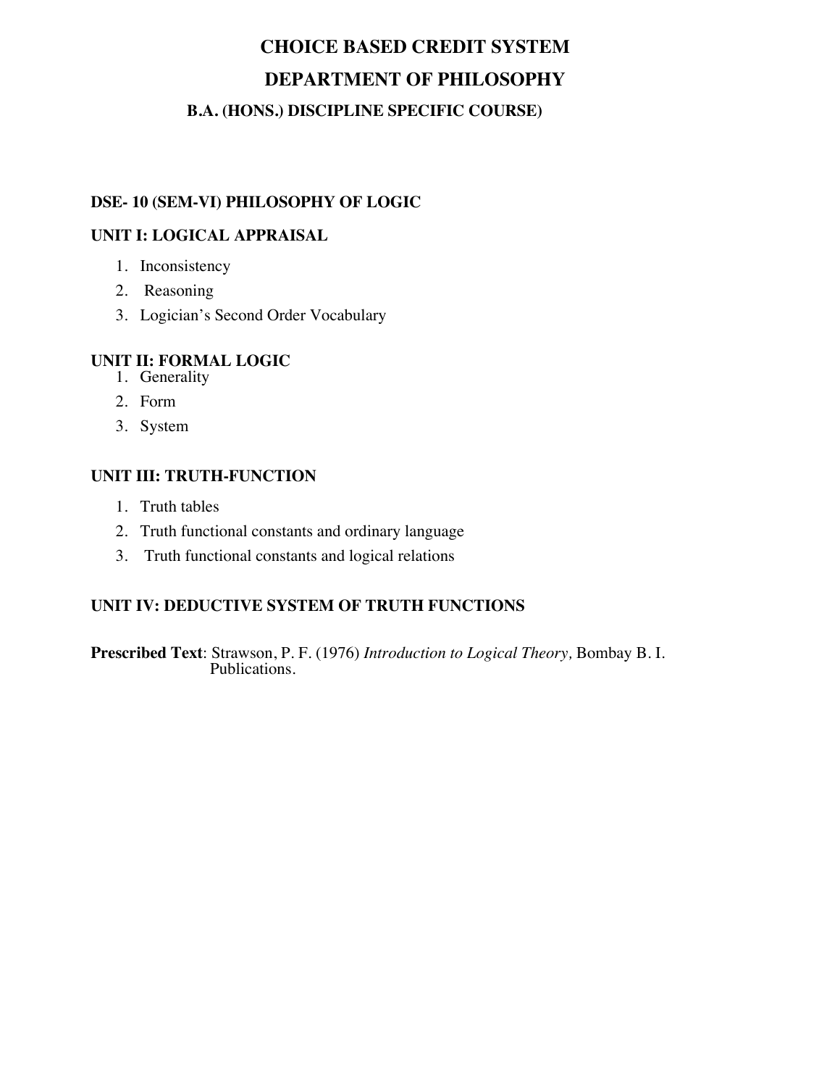### **DSE- 10 (SEM-VI) PHILOSOPHY OF LOGIC**

#### **UNIT I: LOGICAL APPRAISAL**

- 1. Inconsistency
- 2. Reasoning
- 3. Logician's Second Order Vocabulary

#### **UNIT II: FORMAL LOGIC**

- 1. Generality
- 2. Form
- 3. System

#### **UNIT III: TRUTH-FUNCTION**

- 1. Truth tables
- 2. Truth functional constants and ordinary language
- 3. Truth functional constants and logical relations

### **UNIT IV: DEDUCTIVE SYSTEM OF TRUTH FUNCTIONS**

**Prescribed Text**: Strawson, P. F. (1976) *Introduction to Logical Theory,* Bombay B. I. Publications.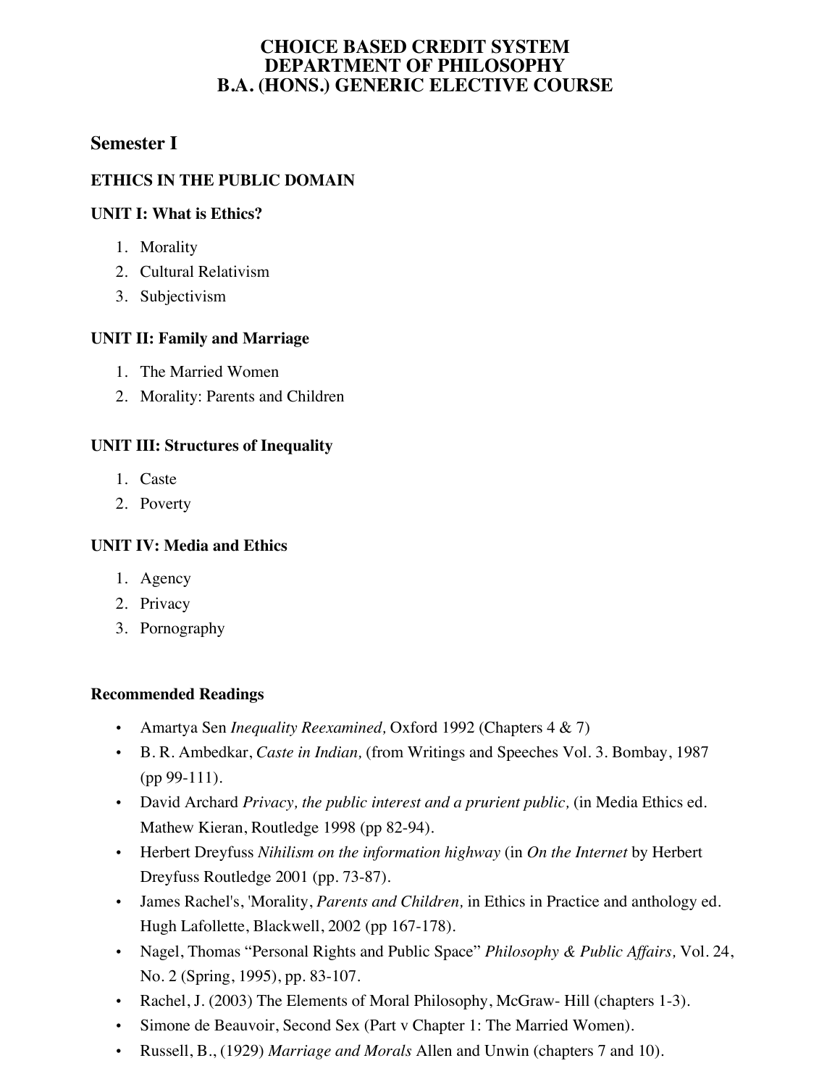# **Semester I**

# **ETHICS IN THE PUBLIC DOMAIN**

#### **UNIT I: What is Ethics?**

- 1. Morality
- 2. Cultural Relativism
- 3. Subjectivism

### **UNIT II: Family and Marriage**

- 1. The Married Women
- 2. Morality: Parents and Children

# **UNIT III: Structures of Inequality**

- 1. Caste
- 2. Poverty

### **UNIT IV: Media and Ethics**

- 1. Agency
- 2. Privacy
- 3. Pornography

- Amartya Sen *Inequality Reexamined,* Oxford 1992 (Chapters 4 & 7)
- B. R. Ambedkar, *Caste in Indian,* (from Writings and Speeches Vol. 3. Bombay, 1987 (pp 99-111).
- David Archard *Privacy, the public interest and a prurient public,* (in Media Ethics ed. Mathew Kieran, Routledge 1998 (pp 82-94).
- Herbert Dreyfuss *Nihilism on the information highway* (in *On the Internet* by Herbert Dreyfuss Routledge 2001 (pp. 73-87).
- James Rachel's, 'Morality, *Parents and Children,* in Ethics in Practice and anthology ed. Hugh Lafollette, Blackwell, 2002 (pp 167-178).
- Nagel, Thomas "Personal Rights and Public Space" *Philosophy & Public Affairs,* Vol. 24, No. 2 (Spring, 1995), pp. 83-107.
- Rachel, J. (2003) The Elements of Moral Philosophy, McGraw- Hill (chapters 1-3).
- Simone de Beauvoir, Second Sex (Part v Chapter 1: The Married Women).
- Russell, B., (1929) *Marriage and Morals* Allen and Unwin (chapters 7 and 10).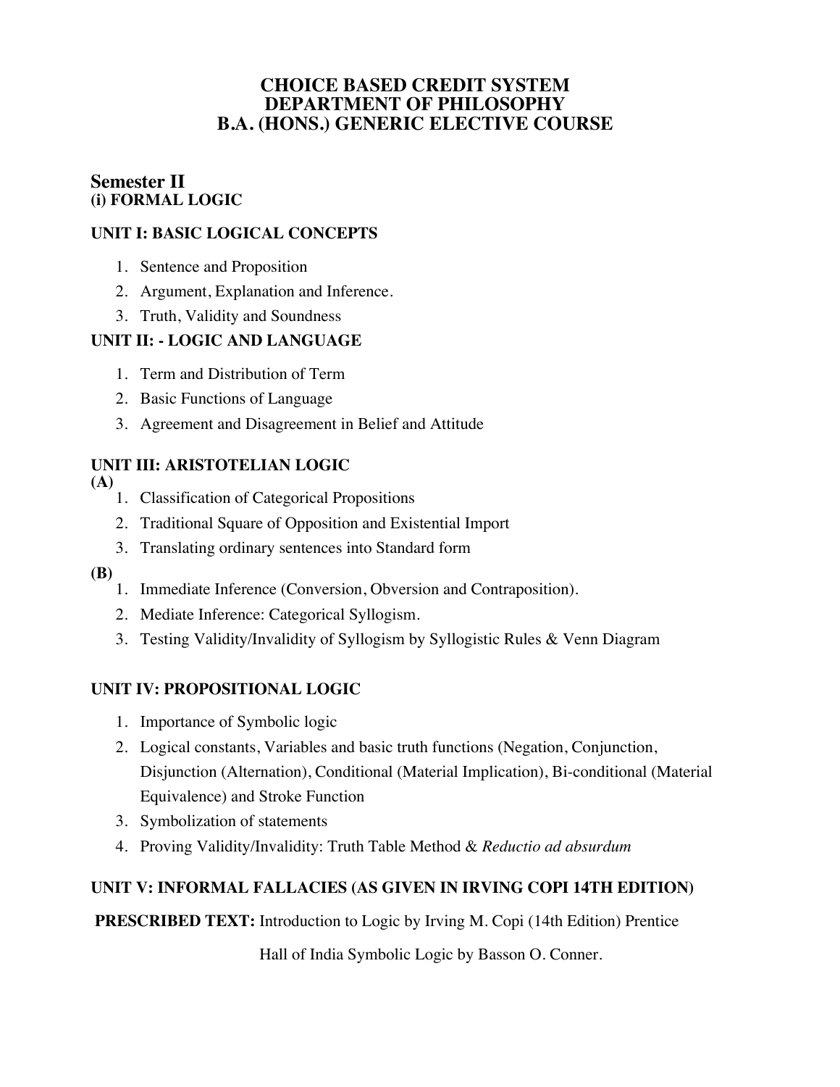# **Semester II (i) FORMAL LOGIC**

# **UNIT I: BASIC LOGICAL CONCEPTS**

- 1. Sentence and Proposition
- 2. Argument, Explanation and Inference.
- 3. Truth, Validity and Soundness

# **UNIT II: - LOGIC AND LANGUAGE**

- 1. Term and Distribution of Term
- 2. Basic Functions of Language
- 3. Agreement and Disagreement in Belief and Attitude

# **UNIT III: ARISTOTELIAN LOGIC**

- **(A)** 
	- 1. Classification of Categorical Propositions
	- 2. Traditional Square of Opposition and Existential Import
	- 3. Translating ordinary sentences into Standard form
- **(B)**
	- 1. Immediate Inference (Conversion, Obversion and Contraposition).
	- 2. Mediate Inference: Categorical Syllogism.
	- 3. Testing Validity/Invalidity of Syllogism by Syllogistic Rules & Venn Diagram

# **UNIT IV: PROPOSITIONAL LOGIC**

- 1. Importance of Symbolic logic
- 2. Logical constants, Variables and basic truth functions (Negation, Conjunction, Disjunction (Alternation), Conditional (Material Implication), Bi-conditional (Material Equivalence) and Stroke Function
- 3. Symbolization of statements
- 4. Proving Validity/Invalidity: Truth Table Method & *Reductio ad absurdum*

# **UNIT V: INFORMAL FALLACIES (AS GIVEN IN IRVING COPI 14TH EDITION)**

**PRESCRIBED TEXT:** Introduction to Logic by Irving M. Copi (14th Edition) Prentice

Hall of India Symbolic Logic by Basson O. Conner.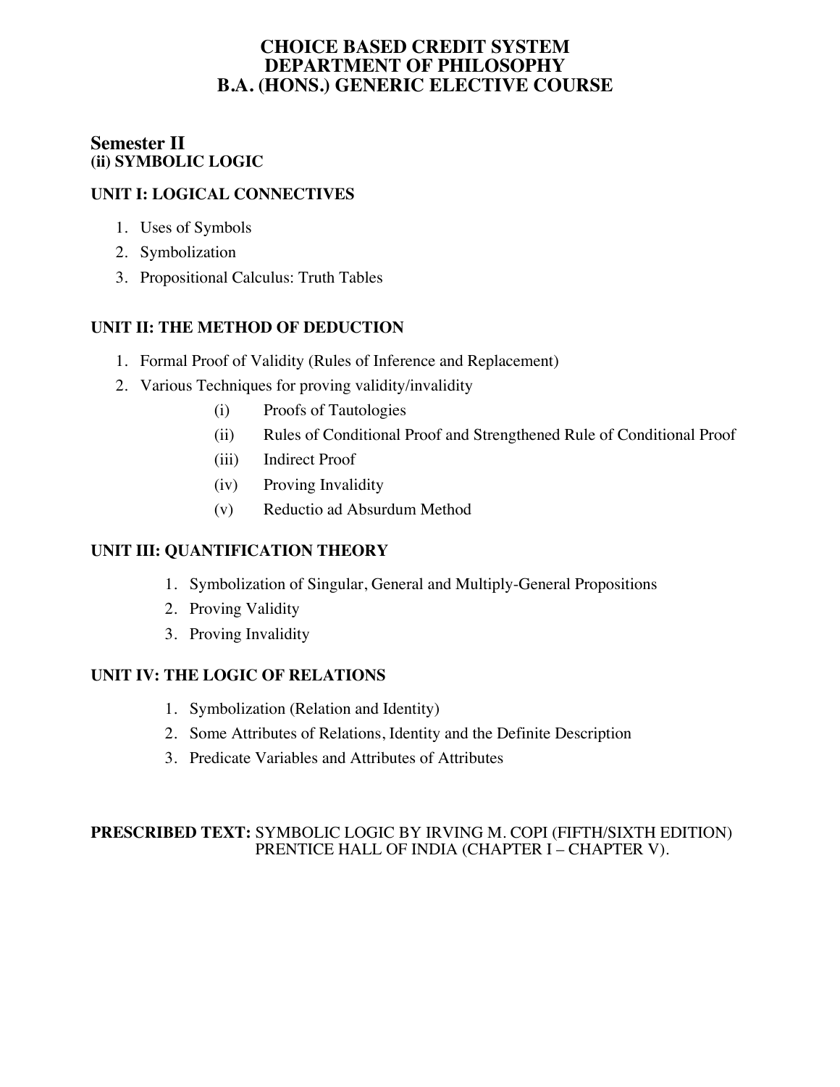# **Semester II (ii) SYMBOLIC LOGIC**

# **UNIT I: LOGICAL CONNECTIVES**

- 1. Uses of Symbols
- 2. Symbolization
- 3. Propositional Calculus: Truth Tables

# **UNIT II: THE METHOD OF DEDUCTION**

- 1. Formal Proof of Validity (Rules of Inference and Replacement)
- 2. Various Techniques for proving validity/invalidity
	- (i) Proofs of Tautologies
	- (ii) Rules of Conditional Proof and Strengthened Rule of Conditional Proof
	- (iii) Indirect Proof
	- (iv) Proving Invalidity
	- (v) Reductio ad Absurdum Method

# **UNIT III: QUANTIFICATION THEORY**

- 1. Symbolization of Singular, General and Multiply-General Propositions
- 2. Proving Validity
- 3. Proving Invalidity

### **UNIT IV: THE LOGIC OF RELATIONS**

- 1. Symbolization (Relation and Identity)
- 2. Some Attributes of Relations, Identity and the Definite Description
- 3. Predicate Variables and Attributes of Attributes

### **PRESCRIBED TEXT:** SYMBOLIC LOGIC BY IRVING M. COPI (FIFTH/SIXTH EDITION) PRENTICE HALL OF INDIA (CHAPTER I – CHAPTER V).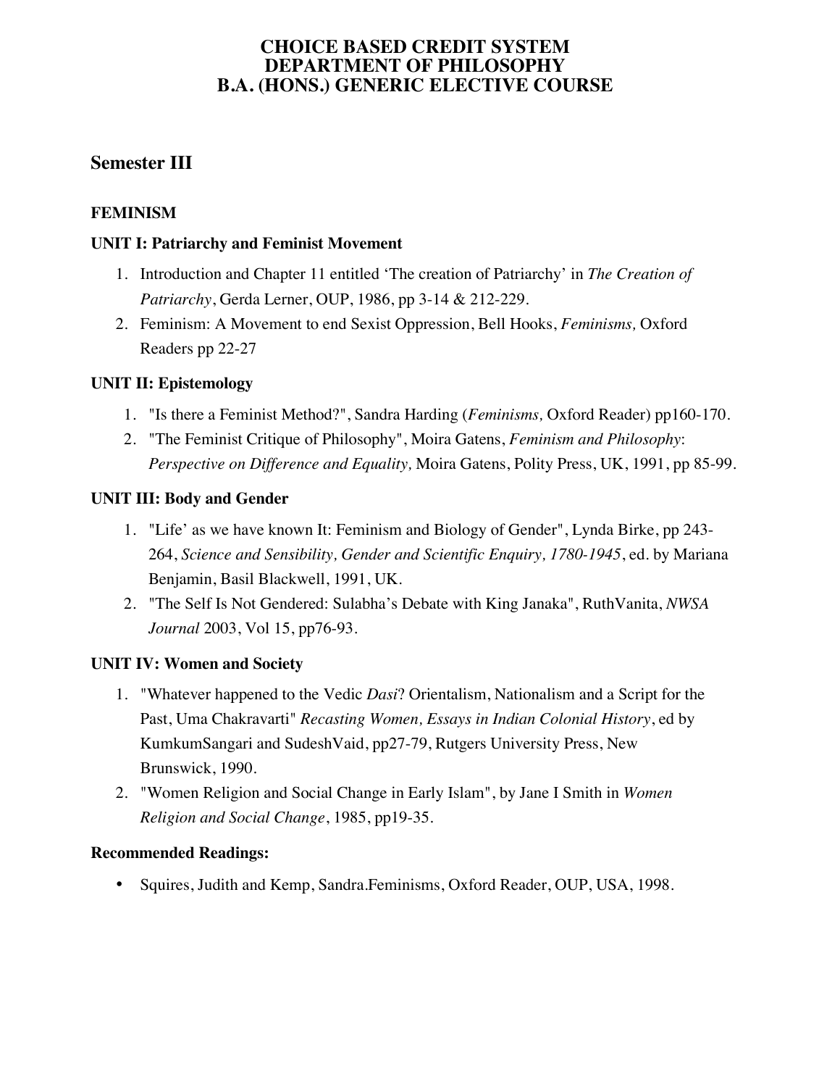# **Semester III**

# **FEMINISM**

#### **UNIT I: Patriarchy and Feminist Movement**

- 1. Introduction and Chapter 11 entitled 'The creation of Patriarchy' in *The Creation of Patriarchy*, Gerda Lerner, OUP, 1986, pp 3-14 & 212-229.
- 2. Feminism: A Movement to end Sexist Oppression, Bell Hooks, *Feminisms,* Oxford Readers pp 22-27

# **UNIT II: Epistemology**

- 1. "Is there a Feminist Method?", Sandra Harding (*Feminisms,* Oxford Reader) pp160-170.
- 2. "The Feminist Critique of Philosophy", Moira Gatens, *Feminism and Philosophy*: *Perspective on Difference and Equality,* Moira Gatens, Polity Press, UK, 1991, pp 85-99.

### **UNIT III: Body and Gender**

- 1. "Life' as we have known It: Feminism and Biology of Gender", Lynda Birke, pp 243- 264, *Science and Sensibility, Gender and Scientific Enquiry, 1780-1945*, ed. by Mariana Benjamin, Basil Blackwell, 1991, UK.
- 2. "The Self Is Not Gendered: Sulabha's Debate with King Janaka", RuthVanita, *NWSA Journal* 2003, Vol 15, pp76-93.

### **UNIT IV: Women and Society**

- 1. "Whatever happened to the Vedic *Dasi*? Orientalism, Nationalism and a Script for the Past, Uma Chakravarti" *Recasting Women, Essays in Indian Colonial History*, ed by KumkumSangari and SudeshVaid, pp27-79, Rutgers University Press, New Brunswick, 1990.
- 2. "Women Religion and Social Change in Early Islam", by Jane I Smith in *Women Religion and Social Change*, 1985, pp19-35.

### **Recommended Readings:**

• Squires, Judith and Kemp, Sandra.Feminisms, Oxford Reader, OUP, USA, 1998.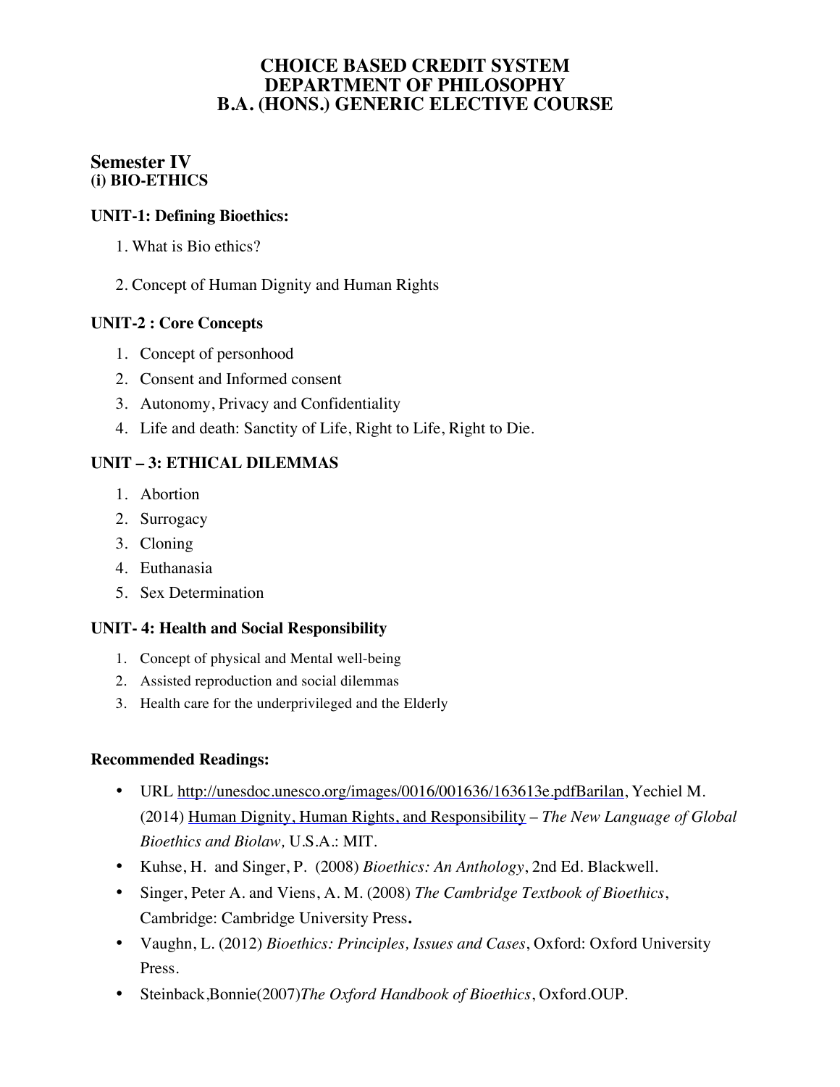# **Semester IV (i) BIO-ETHICS**

### **UNIT-1: Defining Bioethics:**

- 1. What is Bio ethics?
- 2. Concept of Human Dignity and Human Rights

#### **UNIT-2 : Core Concepts**

- 1. Concept of personhood
- 2. Consent and Informed consent
- 3. Autonomy, Privacy and Confidentiality
- 4. Life and death: Sanctity of Life, Right to Life, Right to Die.

### **UNIT – 3: ETHICAL DILEMMAS**

- 1. Abortion
- 2. Surrogacy
- 3. Cloning
- 4. Euthanasia
- 5. Sex Determination

### **UNIT- 4: Health and Social Responsibility**

- 1. Concept of physical and Mental well-being
- 2. Assisted reproduction and social dilemmas
- 3. Health care for the underprivileged and the Elderly

- URL http://unesdoc.unesco.org/images/0016/001636/163613e.pdfBarilan, Yechiel M. (2014) Human Dignity, Human Rights, and Responsibility – *The New Language of Global Bioethics and Biolaw,* U.S.A.: MIT.
- Kuhse, H. and Singer, P. (2008) *Bioethics: An Anthology*, 2nd Ed. Blackwell.
- Singer, Peter A. and Viens, A. M. (2008) *The Cambridge Textbook of Bioethics*, Cambridge: Cambridge University Press**.**
- Vaughn, L. (2012) *Bioethics: Principles, Issues and Cases*, Oxford: Oxford University Press.
- Steinback,Bonnie(2007)*The Oxford Handbook of Bioethics*, Oxford.OUP.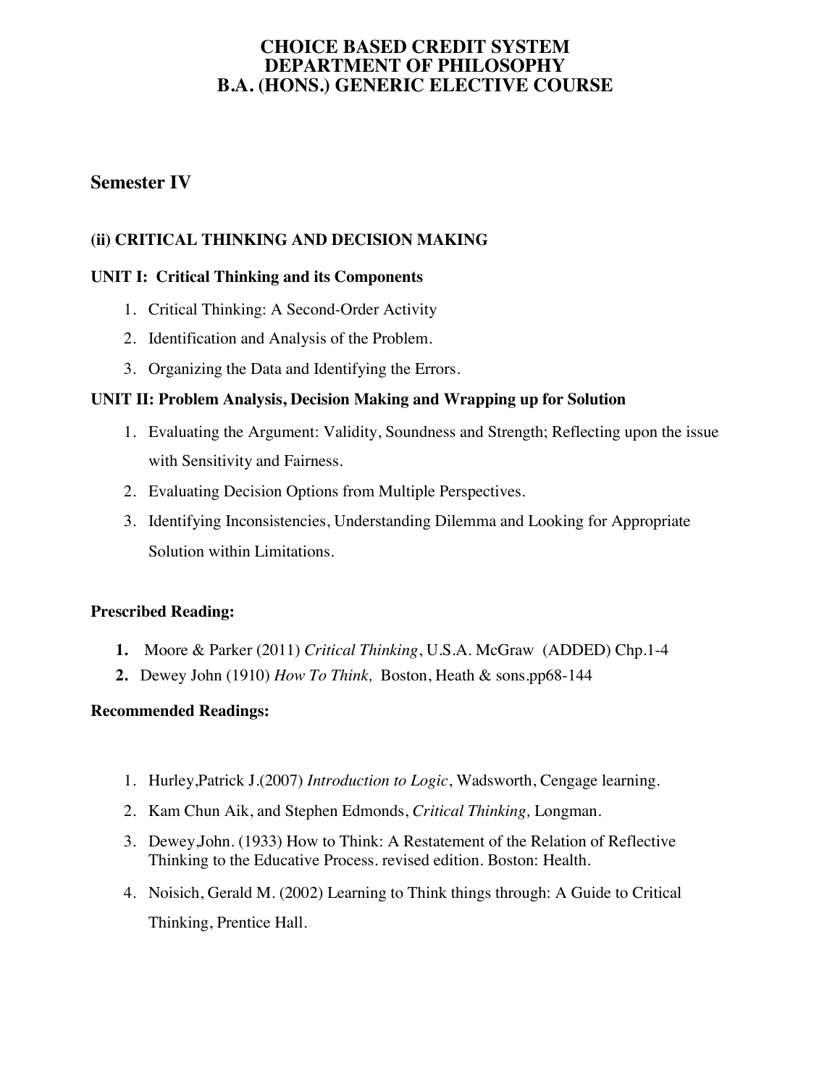# **Semester IV**

### **(ii) CRITICAL THINKING AND DECISION MAKING**

#### **UNIT I: Critical Thinking and its Components**

- 1. Critical Thinking: A Second-Order Activity
- 2. Identification and Analysis of the Problem.
- 3. Organizing the Data and Identifying the Errors.

#### **UNIT II: Problem Analysis, Decision Making and Wrapping up for Solution**

- 1. Evaluating the Argument: Validity, Soundness and Strength; Reflecting upon the issue with Sensitivity and Fairness.
- 2. Evaluating Decision Options from Multiple Perspectives.
- 3. Identifying Inconsistencies, Understanding Dilemma and Looking for Appropriate Solution within Limitations.

#### **Prescribed Reading:**

- **1.** Moore & Parker (2011) *Critical Thinking*, U.S.A. McGraw (ADDED) Chp.1-4
- **2.** Dewey John (1910) *How To Think,* Boston, Heath & sons.pp68-144

- 1. Hurley,Patrick J.(2007) *Introduction to Logic*, Wadsworth, Cengage learning.
- 2. Kam Chun Aik, and Stephen Edmonds, *Critical Thinking,* Longman.
- 3. Dewey,John. (1933) How to Think: A Restatement of the Relation of Reflective Thinking to the Educative Process. revised edition. Boston: Health.
- 4. Noisich, Gerald M. (2002) Learning to Think things through: A Guide to Critical Thinking, Prentice Hall.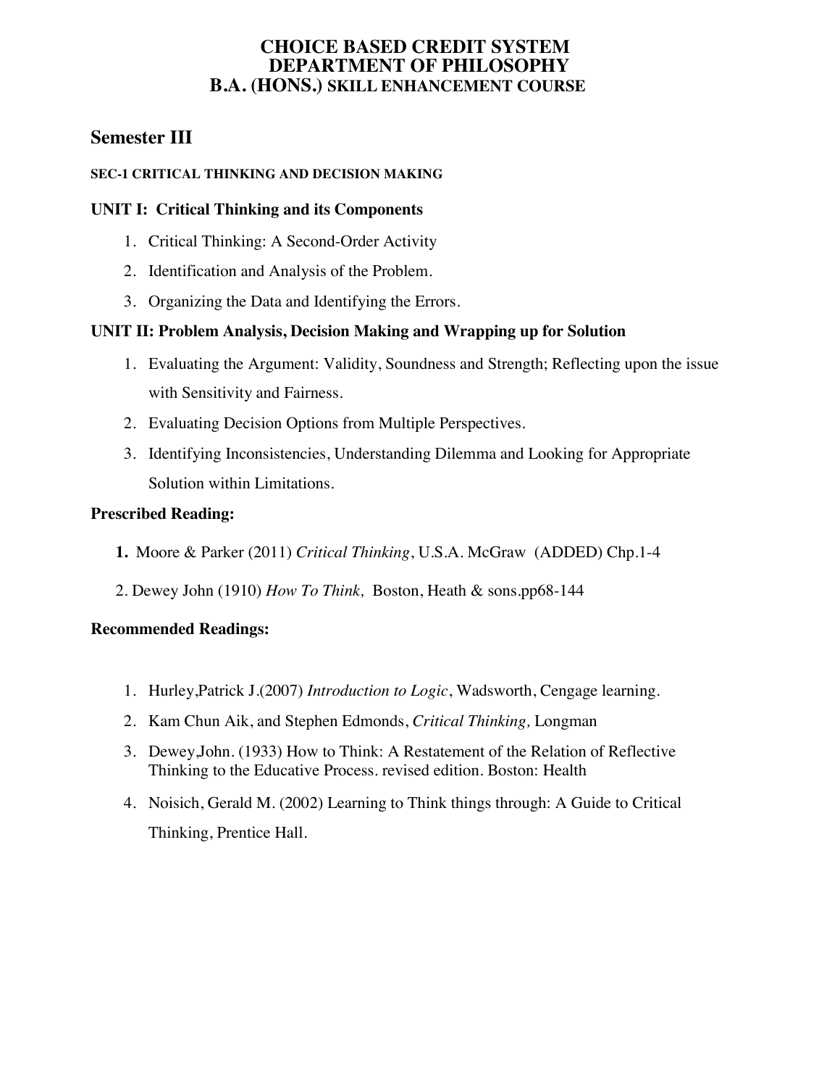### **CHOICE BASED CREDIT SYSTEM DEPARTMENT OF PHILOSOPHY B.A. (HONS.) SKILL ENHANCEMENT COURSE**

# **Semester III**

#### **SEC-1 CRITICAL THINKING AND DECISION MAKING**

#### **UNIT I: Critical Thinking and its Components**

- 1. Critical Thinking: A Second-Order Activity
- 2. Identification and Analysis of the Problem.
- 3. Organizing the Data and Identifying the Errors.

# **UNIT II: Problem Analysis, Decision Making and Wrapping up for Solution**

- 1. Evaluating the Argument: Validity, Soundness and Strength; Reflecting upon the issue with Sensitivity and Fairness.
- 2. Evaluating Decision Options from Multiple Perspectives.
- 3. Identifying Inconsistencies, Understanding Dilemma and Looking for Appropriate Solution within Limitations.

### **Prescribed Reading:**

- **1.** Moore & Parker (2011) *Critical Thinking*, U.S.A. McGraw (ADDED) Chp.1-4
- 2. Dewey John (1910) *How To Think,* Boston, Heath & sons.pp68-144

- 1. Hurley,Patrick J.(2007) *Introduction to Logic*, Wadsworth, Cengage learning.
- 2. Kam Chun Aik, and Stephen Edmonds, *Critical Thinking,* Longman
- 3. Dewey,John. (1933) How to Think: A Restatement of the Relation of Reflective Thinking to the Educative Process. revised edition. Boston: Health
- 4. Noisich, Gerald M. (2002) Learning to Think things through: A Guide to Critical Thinking, Prentice Hall.